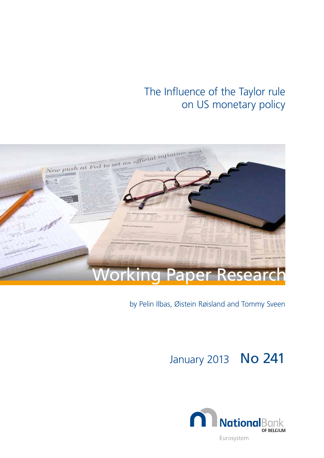# The Influence of the Taylor rule on US monetary policy



## by Pelin Ilbas, Øistein Røisland and Tommy Sveen

# January 2013 **No 241**

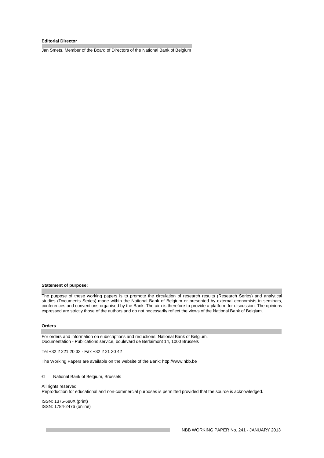#### **Editorial Director**

Jan Smets, Member of the Board of Directors of the National Bank of Belgium

#### **Statement of purpose:**

The purpose of these working papers is to promote the circulation of research results (Research Series) and analytical studies (Documents Series) made within the National Bank of Belgium or presented by external economists in seminars, conferences and conventions organised by the Bank. The aim is therefore to provide a platform for discussion. The opinions expressed are strictly those of the authors and do not necessarily reflect the views of the National Bank of Belgium.

#### **Orders**

For orders and information on subscriptions and reductions: National Bank of Belgium, Documentation - Publications service, boulevard de Berlaimont 14, 1000 Brussels

Tel +32 2 221 20 33 - Fax +32 2 21 30 42

The Working Papers are available on the website of the Bank: http://www.nbb.be

#### © National Bank of Belgium, Brussels

All rights reserved. Reproduction for educational and non-commercial purposes is permitted provided that the source is acknowledged.

ISSN: 1375-680X (print) ISSN: 1784-2476 (online)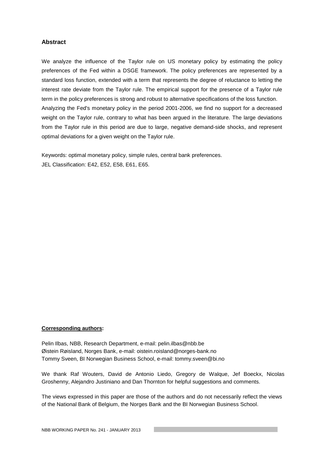## **Abstract**

We analyze the influence of the Taylor rule on US monetary policy by estimating the policy preferences of the Fed within a DSGE framework. The policy preferences are represented by a standard loss function, extended with a term that represents the degree of reluctance to letting the interest rate deviate from the Taylor rule. The empirical support for the presence of a Taylor rule term in the policy preferences is strong and robust to alternative specifications of the loss function. Analyzing the Fed's monetary policy in the period 2001-2006, we find no support for a decreased weight on the Taylor rule, contrary to what has been argued in the literature. The large deviations from the Taylor rule in this period are due to large, negative demand-side shocks, and represent optimal deviations for a given weight on the Taylor rule.

Keywords: optimal monetary policy, simple rules, central bank preferences. JEL Classification: E42, E52, E58, E61, E65.

## **Corresponding authors:**

Pelin Ilbas, NBB, Research Department, e-mail: pelin.ilbas@nbb.be Øistein Røisland, Norges Bank, e-mail: oistein.roisland@norges-bank.no Tommy Sveen, BI Norwegian Business School, e-mail: tommy.sveen@bi.no

We thank Raf Wouters, David de Antonio Liedo, Gregory de Walque, Jef Boeckx, Nicolas Groshenny, Alejandro Justiniano and Dan Thornton for helpful suggestions and comments.

The views expressed in this paper are those of the authors and do not necessarily reflect the views of the National Bank of Belgium, the Norges Bank and the BI Norwegian Business School.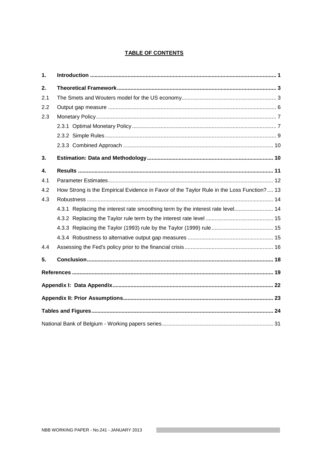## **TABLE OF CONTENTS**

| 1.  |                                                                                            |  |
|-----|--------------------------------------------------------------------------------------------|--|
| 2.  |                                                                                            |  |
| 2.1 |                                                                                            |  |
| 2.2 |                                                                                            |  |
| 2.3 |                                                                                            |  |
|     |                                                                                            |  |
|     |                                                                                            |  |
|     |                                                                                            |  |
| 3.  |                                                                                            |  |
| 4.  |                                                                                            |  |
| 4.1 |                                                                                            |  |
| 4.2 | How Strong is the Empirical Evidence in Favor of the Taylor Rule in the Loss Function?  13 |  |
| 4.3 |                                                                                            |  |
|     | 4.3.1 Replacing the interest rate smoothing term by the interest rate level 14             |  |
|     |                                                                                            |  |
|     |                                                                                            |  |
|     |                                                                                            |  |
| 4.4 |                                                                                            |  |
| 5.  |                                                                                            |  |
|     |                                                                                            |  |
|     |                                                                                            |  |
|     |                                                                                            |  |
|     |                                                                                            |  |
|     |                                                                                            |  |

**Contract Contract**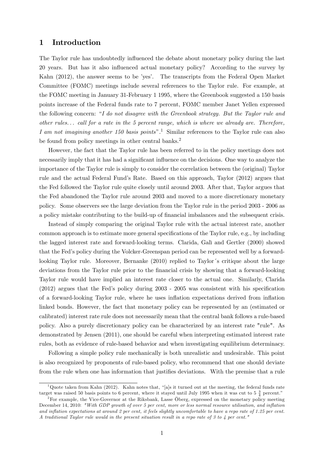## 1 Introduction

The Taylor rule has undoubtedly influenced the debate about monetary policy during the last 20 years. But has it also influenced actual monetary policy? According to the survey by Kahn (2012), the answer seems to be 'yes'. The transcripts from the Federal Open Market Committee (FOMC) meetings include several references to the Taylor rule. For example, at the FOMC meeting in January 31-February 1 1995, where the Greenbook suggested a 150 basis points increase of the Federal funds rate to 7 percent, FOMC member Janet Yellen expressed the following concern: "I do not disagree with the Greenbook strategy. But the Taylor rule and other rules. . . call for a rate in the 5 percent range, which is where we already are. Therefore, I am not imagining another 150 basis points".<sup>1</sup> Similar references to the Taylor rule can also be found from policy meetings in other central banks.<sup>2</sup>

However, the fact that the Taylor rule has been referred to in the policy meetings does not necessarily imply that it has had a significant influence on the decisions. One way to analyze the importance of the Taylor rule is simply to consider the correlation between the (original) Taylor rule and the actual Federal Fundís Rate. Based on this approach, Taylor (2012) argues that the Fed followed the Taylor rule quite closely until around 2003. After that, Taylor argues that the Fed abandoned the Taylor rule around 2003 and moved to a more discretionary monetary policy. Some observers see the large deviation from the Taylor rule in the period 2003 - 2006 as a policy mistake contributing to the build-up of financial imbalances and the subsequent crisis.

Instead of simply comparing the original Taylor rule with the actual interest rate, another common approach is to estimate more general specifications of the Taylor rule, e.g., by including the lagged interest rate and forward-looking terms. Clarida, Galì and Gertler (2000) showed that the Fedís policy during the Volcker-Greenspan period can be represented well by a forwardlooking Taylor rule. Moreover, Bernanke (2010) replied to Taylor's critique about the large deviations from the Taylor rule prior to the financial crisis by showing that a forward-looking Taylor rule would have implied an interest rate closer to the actual one. Similarly, Clarida  $(2012)$  argues that the Fed's policy during  $2003 - 2005$  was consistent with his specification of a forward-looking Taylor rule, where he uses ináation expectations derived from ináation linked bonds. However, the fact that monetary policy can be represented by an (estimated or calibrated) interest rate rule does not necessarily mean that the central bank follows a rule-based policy. Also a purely discretionary policy can be characterized by an interest rate "rule". As demonstrated by Jensen (2011), one should be careful when interpreting estimated interest rate rules, both as evidence of rule-based behavior and when investigating equilibrium determinacy.

Following a simple policy rule mechanically is both unrealistic and undesirable. This point is also recognized by proponents of rule-based policy, who recommend that one should deviate from the rule when one has information that justifies deviations. With the premise that a rule

 $1$ Quote taken from Kahn (2012). Kahn notes that, "[a]s it turned out at the meeting, the federal funds rate target was raised 50 basis points to 6 percent, where it stayed until July 1995 when it was cut to 5 $\frac{3}{4}$  percent."

 $2$ For example, the Vice-Governor at the Riksbank, Lasse Öberg, expressed on the monetary policy meeting December 14, 2010: "With GDP growth of over 5 per cent, more or less normal resource utilisation, and inflation and inflation expectations at around 2 per cent, it feels slightly uncomfortable to have a repo rate of 1.25 per cent. A traditional Taylor rule would in the present situation result in a repo rate of 3 to 4 per cent."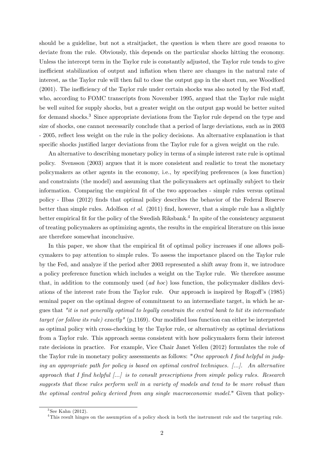should be a guideline, but not a straitjacket, the question is when there are good reasons to deviate from the rule. Obviously, this depends on the particular shocks hitting the economy. Unless the intercept term in the Taylor rule is constantly adjusted, the Taylor rule tends to give inefficient stabilization of output and inflation when there are changes in the natural rate of interest, as the Taylor rule will then fail to close the output gap in the short run, see Woodford  $(2001)$ . The inefficiency of the Taylor rule under certain shocks was also noted by the Fed staff, who, according to FOMC transcripts from November 1995, argued that the Taylor rule might be well suited for supply shocks, but a greater weight on the output gap would be better suited for demand shocks.<sup>3</sup> Since appropriate deviations from the Taylor rule depend on the type and size of shocks, one cannot necessarily conclude that a period of large deviations, such as in 2003 - 2005, reáect less weight on the rule in the policy decisions. An alternative explanation is that specific shocks justified larger deviations from the Taylor rule for a given weight on the rule.

An alternative to describing monetary policy in terms of a simple interest rate rule is optimal policy. Svensson (2003) argues that it is more consistent and realistic to treat the monetary policymakers as other agents in the economy, i.e., by specifying preferences (a loss function) and constraints (the model) and assuming that the policymakers act optimally subject to their information. Comparing the empirical fit of the two approaches - simple rules versus optimal policy - Ilbas (2012) Önds that optimal policy describes the behavior of the Federal Reserve better than simple rules. Adolfson *et al.* (2011) find, however, that a simple rule has a slightly better empirical fit for the policy of the Swedish Riksbank.<sup>4</sup> In spite of the consistency argument of treating policymakers as optimizing agents, the results in the empirical literature on this issue are therefore somewhat inconclusive.

In this paper, we show that the empirical fit of optimal policy increases if one allows policymakers to pay attention to simple rules. To assess the importance placed on the Taylor rule by the Fed, and analyze if the period after 2003 represented a shift away from it, we introduce a policy preference function which includes a weight on the Taylor rule. We therefore assume that, in addition to the commonly used (ad hoc) loss function, the policymaker dislikes deviations of the interest rate from the Taylor rule. Our approach is inspired by Rogoff's (1985) seminal paper on the optimal degree of commitment to an intermediate target, in which he argues that "it is not generally optimal to legally constrain the central bank to hit its intermediate target (or follow its rule) exactly" (p.1169). Our modified loss function can either be interpreted as optimal policy with cross-checking by the Taylor rule, or alternatively as optimal deviations from a Taylor rule. This approach seems consistent with how policymakers form their interest rate decisions in practice. For example, Vice Chair Janet Yellen (2012) formulates the role of the Taylor rule in monetary policy assessments as follows: "One approach I find helpful in judging an appropriate path for policy is based on optimal control techniques. [...]. An alternative approach that I find helpful  $\left[\ldots\right]$  is to consult prescriptions from simple policy rules. Research suggests that these rules perform well in a variety of models and tend to be more robust than the optimal control policy derived from any single macroeconomic model." Given that policy-

 ${}^{3}$ See Kahn (2012).

<sup>4</sup>This result hinges on the assumption of a policy shock in both the instrument rule and the targeting rule.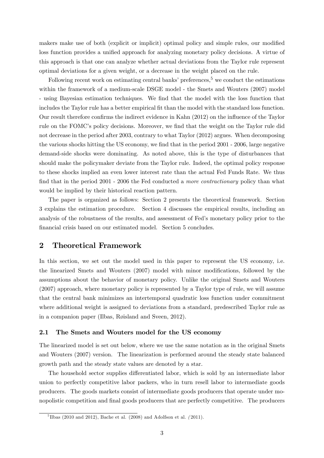makers make use of both (explicit or implicit) optimal policy and simple rules, our modified loss function provides a unified approach for analyzing monetary policy decisions. A virtue of this approach is that one can analyze whether actual deviations from the Taylor rule represent optimal deviations for a given weight, or a decrease in the weight placed on the rule.

Following recent work on estimating central banks' preferences, $5 \text{ we conduct the estimations}$ within the framework of a medium-scale DSGE model - the Smets and Wouters (2007) model - using Bayesian estimation techniques. We Önd that the model with the loss function that includes the Taylor rule has a better empirical fit than the model with the standard loss function. Our result therefore confirms the indirect evidence in Kahn  $(2012)$  on the influence of the Taylor rule on the FOMC's policy decisions. Moreover, we find that the weight on the Taylor rule did not decrease in the period after 2003, contrary to what Taylor (2012) argues. When decomposing the various shocks hitting the US economy, we find that in the period 2001 - 2006, large negative demand-side shocks were dominating. As noted above, this is the type of disturbances that should make the policymaker deviate from the Taylor rule. Indeed, the optimal policy response to these shocks implied an even lower interest rate than the actual Fed Funds Rate. We thus find that in the period 2001 - 2006 the Fed conducted a more contractionary policy than what would be implied by their historical reaction pattern.

The paper is organized as follows: Section 2 presents the theoretical framework. Section 3 explains the estimation procedure. Section 4 discusses the empirical results, including an analysis of the robustness of the results, and assessment of Fed's monetary policy prior to the financial crisis based on our estimated model. Section 5 concludes.

## 2 Theoretical Framework

In this section, we set out the model used in this paper to represent the US economy, i.e. the linearized Smets and Wouters (2007) model with minor modifications, followed by the assumptions about the behavior of monetary policy. Unlike the original Smets and Wouters (2007) approach, where monetary policy is represented by a Taylor type of rule, we will assume that the central bank minimizes an intertemporal quadratic loss function under commitment where additional weight is assigned to deviations from a standard, predescribed Taylor rule as in a companion paper (Ilbas, Røisland and Sveen, 2012).

#### 2.1 The Smets and Wouters model for the US economy

The linearized model is set out below, where we use the same notation as in the original Smets and Wouters (2007) version. The linearization is performed around the steady state balanced growth path and the steady state values are denoted by a star.

The household sector supplies differentiated labor, which is sold by an intermediate labor union to perfectly competitive labor packers, who in turn resell labor to intermediate goods producers. The goods markets consist of intermediate goods producers that operate under monopolistic competition and final goods producers that are perfectly competitive. The producers

 $^{5}$ Ilbas (2010 and 2012), Bache et al. (2008) and Adolfson et al. (2011).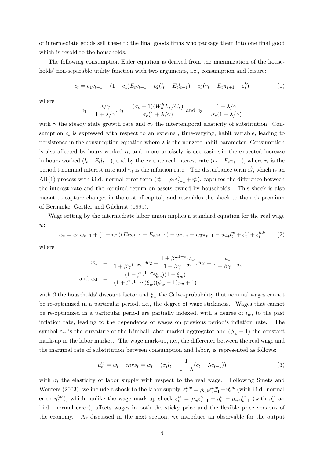of intermediate goods sell these to the Önal goods Örms who package them into one Önal good which is resold to the households.

The following consumption Euler equation is derived from the maximization of the households' non-separable utility function with two arguments, i.e., consumption and leisure:

$$
c_t = c_1c_{t-1} + (1 - c_1)E_t c_{t+1} + c_2(l_t - E_t l_{t+1}) - c_3(r_t - E_t \pi_{t+1} + \varepsilon_t^b)
$$
(1)

where

$$
c_1 = \frac{\lambda/\gamma}{1 + \lambda/\gamma}, c_2 = \frac{(\sigma_c - 1)(W_*^h L_*/C_*)}{\sigma_c(1 + \lambda/\gamma)}
$$
 and  $c_3 = \frac{1 - \lambda/\gamma}{\sigma_c(1 + \lambda/\gamma)}$ 

with  $\gamma$  the steady state growth rate and  $\sigma_c$  the intertemporal elasticity of substitution. Consumption  $c_t$  is expressed with respect to an external, time-varying, habit variable, leading to persistence in the consumption equation where  $\lambda$  is the nonzero habit parameter. Consumption is also affected by hours worked  $l_t$ , and, more precisely, is decreasing in the expected increase in hours worked  $(l_t - E_t l_{t+1})$ , and by the ex ante real interest rate  $(r_t - E_t \pi_{t+1})$ , where  $r_t$  is the period t nominal interest rate and  $\pi_t$  is the inflation rate. The disturbance term  $\varepsilon_t^b$ , which is an AR(1) process with i.i.d. normal error term  $(\varepsilon_t^b = \rho_b \varepsilon_{t-1}^b + \eta_t^b)$ , captures the difference between the interest rate and the required return on assets owned by households. This shock is also meant to capture changes in the cost of capital, and resembles the shock to the risk premium of Bernanke, Gertler and Gilchrist (1999).

Wage setting by the intermediate labor union implies a standard equation for the real wage  $w:$ 

$$
w_t = w_1 w_{t-1} + (1 - w_1)(E_t w_{t+1} + E_t \pi_{t+1}) - w_2 \pi_t + w_3 \pi_{t-1} - w_4 \mu_t^w + \varepsilon_t^w + \varepsilon_t^{lab} \tag{2}
$$

where

$$
w_1 = \frac{1}{1 + \beta \gamma^{1 - \sigma_c}}, w_2 = \frac{1 + \beta \gamma^{1 - \sigma_c} t_w}{1 + \beta \gamma^{1 - \sigma_c}}, w_3 = \frac{t_w}{1 + \beta \gamma^{1 - \sigma_c}}
$$
  
and 
$$
w_4 = \frac{(1 - \beta \gamma^{1 - \sigma_c} \xi_w)(1 - \xi_w)}{(1 + \beta \gamma^{1 - \sigma_c}) \xi_w ((\phi_w - 1)\varepsilon_w + 1)}
$$

with  $\beta$  the households' discount factor and  $\xi_w$  the Calvo-probability that nominal wages cannot be re-optimized in a particular period, i.e., the degree of wage stickiness. Wages that cannot be re-optimized in a particular period are partially indexed, with a degree of  $\iota_w$ , to the past inflation rate, leading to the dependence of wages on previous period's inflation rate. The symbol  $\varepsilon_w$  is the curvature of the Kimball labor market aggregator and  $(\phi_w - 1)$  the constant mark-up in the labor market. The wage mark-up, i.e., the difference between the real wage and the marginal rate of substitution between consumption and labor, is represented as follows:

$$
\mu_t^w = w_t - mrs_t = w_t - (\sigma_l l_t + \frac{1}{1 - \lambda}(c_t - \lambda c_{t-1}))
$$
\n(3)

with  $\sigma_l$  the elasticity of labor supply with respect to the real wage. Following Smets and Wouters (2003), we include a shock to the labor supply,  $\varepsilon_t^{lab} = \rho_{lab} \varepsilon_{t-1}^{lab} + \eta_t^{lab}$  (with i.i.d. normal error  $\eta_t^{lab}$ ), which, unlike the wage mark-up shock  $\varepsilon_t^w = \rho_w \varepsilon_{t-1}^w + \eta_t^w - \mu_w \eta_{t-1}^w$  (with  $\eta_t^w$  and i.i.d. normal error), affects wages in both the sticky price and the flexible price versions of the economy. As discussed in the next section, we introduce an observable for the output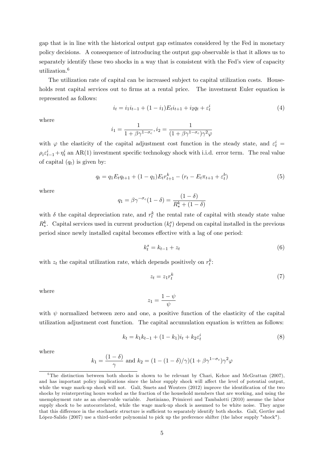gap that is in line with the historical output gap estimates considered by the Fed in monetary policy decisions. A consequence of introducing the output gap observable is that it allows us to separately identify these two shocks in a way that is consistent with the Fed's view of capacity utilization.<sup>6</sup>

The utilization rate of capital can be increased subject to capital utilization costs. Households rent capital services out to firms at a rental price. The investment Euler equation is represented as follows:

$$
i_t = i_1 i_{t-1} + (1 - i_1) E_t i_{t+1} + i_2 q_t + \varepsilon_t^i \tag{4}
$$

where

$$
i_1 = \frac{1}{1 + \beta \gamma^{1 - \sigma_c}}, i_2 = \frac{1}{(1 + \beta \gamma^{1 - \sigma_c})\gamma^2 \varphi}
$$

with  $\varphi$  the elasticity of the capital adjustment cost function in the steady state, and  $\varepsilon_t^i$  =  $\rho_i \varepsilon_{t-1}^i + \eta_t^i$  an AR(1) investment specific technology shock with i.i.d. error term. The real value of capital  $(q_t)$  is given by:

$$
q_t = q_1 E_t q_{t+1} + (1 - q_1) E_t r_{t+1}^k - (r_t - E_t \pi_{t+1} + \varepsilon_t^b)
$$
\n
$$
\tag{5}
$$

where

$$
q_1 = \beta \gamma^{-\sigma_c} (1 - \delta) = \frac{(1 - \delta)}{R_*^k + (1 - \delta)}
$$

with  $\delta$  the capital depreciation rate, and  $r_t^k$  the rental rate of capital with steady state value  $R_{*}^{k}$ . Capital services used in current production  $(k_{t}^{s})$  depend on capital installed in the previous period since newly installed capital becomes effective with a lag of one period:

$$
k_t^s = k_{t-1} + z_t \tag{6}
$$

with  $z_t$  the capital utilization rate, which depends positively on  $r_t^k$ :

$$
z_t = z_1 r_t^k \tag{7}
$$

where

$$
z_1 = \frac{1-\psi}{\psi}
$$

with  $\psi$  normalized between zero and one, a positive function of the elasticity of the capital utilization adjustment cost function. The capital accumulation equation is written as follows:

$$
k_t = k_1 k_{t-1} + (1 - k_1)i_t + k_2 \varepsilon_t^i
$$
\n(8)

where

$$
k_1 = \frac{(1-\delta)}{\gamma}
$$
 and  $k_2 = (1 - (1-\delta)/\gamma)(1 + \beta \gamma^{1-\sigma_c})\gamma^2 \varphi$ 

<sup>&</sup>lt;sup>6</sup>The distinction between both shocks is shown to be relevant by Chari, Kehoe and McGrattan (2007), and has important policy implications since the labor supply shock will affect the level of potential output, while the wage mark-up shock will not. Galí, Smets and Wouters (2012) improve the identification of the two shocks by reinterpreting hours worked as the fraction of the household members that are working, and using the unemployment rate as an observable variable. Justiniano, Primiceri and Tambalotti (2010) assume the labor supply shock to be autocorrelated, while the wage mark-up shock is assumed to be white noise. They argue that this difference in the stochastic structure is sufficient to separately identify both shocks. Galí, Gertler and López-Salido (2007) use a third-order polynomial to pick up the preference shifter (the labor supply "shock").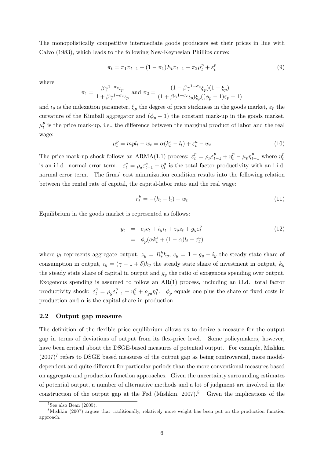The monopolistically competitive intermediate goods producers set their prices in line with Calvo (1983), which leads to the following New-Keynesian Phillips curve:

$$
\pi_t = \pi_1 \pi_{t-1} + (1 - \pi_1) E_t \pi_{t+1} - \pi_2 \mu_t^p + \varepsilon_t^p \tag{9}
$$

where

$$
\pi_1 = \frac{\beta \gamma^{1-\sigma_c} \iota_p}{1 + \beta \gamma^{1-\sigma_c} \iota_p} \text{ and } \pi_2 = \frac{(1 - \beta \gamma^{1-\sigma_c} \xi_p)(1 - \xi_p)}{(1 + \beta \gamma^{1-\sigma_c} \iota_p) \xi_p((\phi_p - 1)\varepsilon_p + 1)}
$$

and  $\iota_p$  is the indexation parameter,  $\xi_p$  the degree of price stickiness in the goods market,  $\varepsilon_p$  the curvature of the Kimball aggregator and  $(\phi_p - 1)$  the constant mark-up in the goods market.  $\mu_t^p$  $_t^p$  is the price mark-up, i.e., the difference between the marginal product of labor and the real wage:

$$
\mu_t^p = mpl_t - w_t = \alpha (k_t^s - l_t) + \varepsilon_t^a - w_t \tag{10}
$$

The price mark-up shock follows an ARMA(1,1) process:  $\varepsilon_t^p = \rho_p \varepsilon_{t-1}^p + \eta_t^p - \mu_p \eta_{t-1}^p$  where  $\eta_t^p$ t is an i.i.d. normal error term.  $\varepsilon_t^a = \rho_a \varepsilon_{t-1}^a + \eta_t^a$  is the total factor productivity with an i.i.d. normal error term. The firms' cost minimization condition results into the following relation between the rental rate of capital, the capital-labor ratio and the real wage:

$$
r_t^k = -(k_t - l_t) + w_t \tag{11}
$$

Equilibrium in the goods market is represented as follows:

$$
y_t = c_y c_t + i_y i_t + z_y z_t + g_y \varepsilon_t^g
$$
  
=  $\phi_p(\alpha k_t^s + (1 - \alpha)l_t + \varepsilon_t^a)$  (12)

where  $y_t$  represents aggregate output,  $z_y = R_*^k k_y$ ,  $c_y = 1 - g_y - i_y$  the steady state share of consumption in output,  $i_y = (\gamma - 1 + \delta)k_y$  the steady state share of investment in output,  $k_y$ the steady state share of capital in output and  $g_y$  the ratio of exogenous spending over output. Exogenous spending is assumed to follow an AR(1) process, including an i.i.d. total factor productivity shock:  $\varepsilon_t^g = \rho_g \varepsilon_{t-1}^g + \eta_t^g + \rho_{ga} \eta_t^a$ .  $\phi_p$  equals one plus the share of fixed costs in production and  $\alpha$  is the capital share in production.

#### 2.2 Output gap measure

The definition of the flexible price equilibrium allows us to derive a measure for the output gap in terms of deviations of output from its áex-price level. Some policymakers, however, have been critical about the DSGE-based measures of potential output. For example, Mishkin  $(2007)^7$  refers to DSGE based measures of the output gap as being controversial, more modeldependent and quite different for particular periods than the more conventional measures based on aggregate and production function approaches. Given the uncertainty surrounding estimates of potential output, a number of alternative methods and a lot of judgment are involved in the construction of the output gap at the Fed (Mishkin,  $2007$ ).<sup>8</sup> Given the implications of the

 $7$ See also Bean (2005).

<sup>8</sup>Mishkin (2007) argues that traditionally, relatively more weight has been put on the production function approach.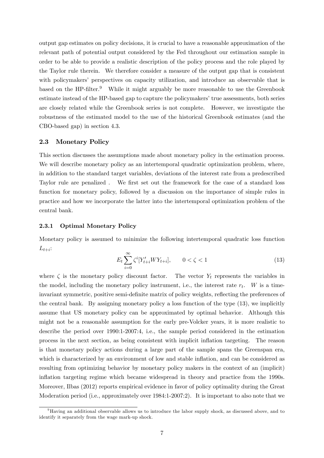output gap estimates on policy decisions, it is crucial to have a reasonable approximation of the relevant path of potential output considered by the Fed throughout our estimation sample in order to be able to provide a realistic description of the policy process and the role played by the Taylor rule therein. We therefore consider a measure of the output gap that is consistent with policymakers' perspectives on capacity utilization, and introduce an observable that is based on the HP-filter. $9$  While it might arguably be more reasonable to use the Greenbook estimate instead of the HP-based gap to capture the policymakers' true assessments, both series are closely related while the Greenbook series is not complete. However, we investigate the robustness of the estimated model to the use of the historical Greenbook estimates (and the CBO-based gap) in section 4.3.

#### 2.3 Monetary Policy

This section discusses the assumptions made about monetary policy in the estimation process. We will describe monetary policy as an intertemporal quadratic optimization problem, where, in addition to the standard target variables, deviations of the interest rate from a predescribed Taylor rule are penalized. We first set out the framework for the case of a standard loss function for monetary policy, followed by a discussion on the importance of simple rules in practice and how we incorporate the latter into the intertemporal optimization problem of the central bank.

#### 2.3.1 Optimal Monetary Policy

Monetary policy is assumed to minimize the following intertemporal quadratic loss function  $L_{t+i}$ :

$$
E_t \sum_{i=0}^{\infty} \zeta^i [Y'_{t+i} W Y_{t+i}], \qquad 0 < \zeta < 1 \tag{13}
$$

where  $\zeta$  is the monetary policy discount factor. The vector  $Y_t$  represents the variables in the model, including the monetary policy instrument, i.e., the interest rate  $r_t$ . W is a timeinvariant symmetric, positive semi-definite matrix of policy weights, reflecting the preferences of the central bank. By assigning monetary policy a loss function of the type (13), we implicitly assume that US monetary policy can be approximated by optimal behavior. Although this might not be a reasonable assumption for the early pre-Volcker years, it is more realistic to describe the period over 1990:1-2007:4, i.e., the sample period considered in the estimation process in the next section, as being consistent with implicit ináation targeting. The reason is that monetary policy actions during a large part of the sample spans the Greenspan era, which is characterized by an environment of low and stable inflation, and can be considered as resulting from optimizing behavior by monetary policy makers in the context of an (implicit) inflation targeting regime which became widespread in theory and practice from the 1990s. Moreover, Ilbas (2012) reports empirical evidence in favor of policy optimality during the Great Moderation period (i.e., approximately over 1984:1-2007:2). It is important to also note that we

<sup>9</sup>Having an additional observable allows us to introduce the labor supply shock, as discussed above, and to identify it separately from the wage mark-up shock.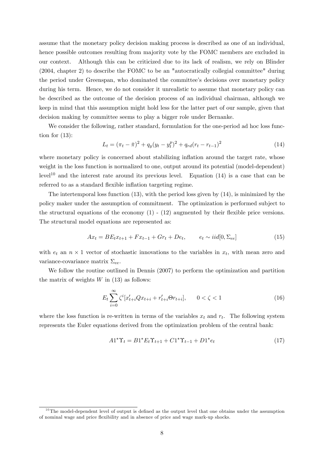assume that the monetary policy decision making process is described as one of an individual, hence possible outcomes resulting from majority vote by the FOMC members are excluded in our context. Although this can be criticized due to its lack of realism, we rely on Blinder (2004, chapter 2) to describe the FOMC to be an "autocratically collegial committee" during the period under Greenspan, who dominated the committee's decisions over monetary policy during his term. Hence, we do not consider it unrealistic to assume that monetary policy can be described as the outcome of the decision process of an individual chairman, although we keep in mind that this assumption might hold less for the latter part of our sample, given that decision making by committee seems to play a bigger role under Bernanke.

We consider the following, rather standard, formulation for the one-period ad hoc loss function for  $(13)$ :

$$
L_t = (\pi_t - \bar{\pi})^2 + q_y(y_t - y_t^p)^2 + q_{rd}(r_t - r_{t-1})^2
$$
\n(14)

where monetary policy is concerned about stabilizing inflation around the target rate, whose weight in the loss function is normalized to one, output around its potential (model-dependent) level<sup>10</sup> and the interest rate around its previous level. Equation  $(14)$  is a case that can be referred to as a standard flexible inflation targeting regime.

The intertemporal loss function (13), with the period loss given by (14), is minimized by the policy maker under the assumption of commitment. The optimization is performed subject to the structural equations of the economy  $(1)$  -  $(12)$  augmented by their flexible price versions. The structural model equations are represented as:

$$
Ax_t = BE_t x_{t+1} + F x_{t-1} + G r_t + De_t, \qquad e_t \sim i i d[0, \Sigma_{ee}]
$$
\n(15)

with  $e_t$  an  $n \times 1$  vector of stochastic innovations to the variables in  $x_t$ , with mean zero and variance-covariance matrix  $\Sigma_{ee}$ .

We follow the routine outlined in Dennis (2007) to perform the optimization and partition the matrix of weights  $W$  in (13) as follows:

$$
E_t \sum_{i=0}^{\infty} \zeta^i [x'_{t+i} Q x_{t+i} + r'_{t+i} \Theta r_{t+i}], \qquad 0 < \zeta < 1
$$
\n(16)

where the loss function is re-written in terms of the variables  $x_t$  and  $r_t$ . The following system represents the Euler equations derived from the optimization problem of the central bank:

$$
A1^{\ast}\Upsilon_{t} = B1^{\ast}E_{t}\Upsilon_{t+1} + C1^{\ast}\Upsilon_{t-1} + D1^{\ast}e_{t}
$$
\n
$$
(17)
$$

 $10$ The model-dependent level of output is defined as the output level that one obtains under the assumption of nominal wage and price áexibility and in absence of price and wage mark-up shocks.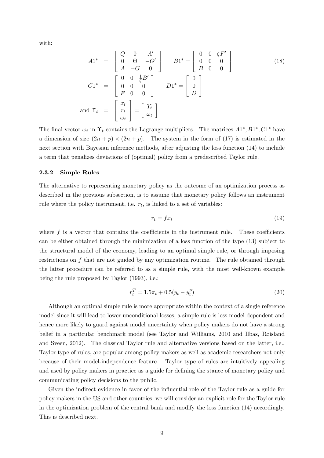with:

$$
A1^* = \begin{bmatrix} Q & 0 & A' \\ 0 & \Theta & -G' \\ A & -G & 0 \end{bmatrix} \qquad B1^* = \begin{bmatrix} 0 & 0 & \zeta F' \\ 0 & 0 & 0 \\ B & 0 & 0 \end{bmatrix}
$$
(18)  

$$
C1^* = \begin{bmatrix} 0 & 0 & \frac{1}{\zeta}B' \\ 0 & 0 & 0 \\ F & 0 & 0 \end{bmatrix} \qquad D1^* = \begin{bmatrix} 0 \\ 0 \\ D \end{bmatrix}
$$
  
and 
$$
\Upsilon_t = \begin{bmatrix} x_t \\ r_t \\ \omega_t \end{bmatrix} = \begin{bmatrix} Y_t \\ \omega_t \end{bmatrix}
$$

The final vector  $\omega_t$  in  $\Upsilon_t$  contains the Lagrange multipliers. The matrices  $A1^*, B1^*, C1^*$  have a dimension of size  $(2n+p) \times (2n+p)$ . The system in the form of (17) is estimated in the next section with Bayesian inference methods, after adjusting the loss function (14) to include a term that penalizes deviations of (optimal) policy from a predescribed Taylor rule.

#### 2.3.2 Simple Rules

The alternative to representing monetary policy as the outcome of an optimization process as described in the previous subsection, is to assume that monetary policy follows an instrument rule where the policy instrument, i.e.  $r_t$ , is linked to a set of variables:

$$
r_t = f x_t \tag{19}
$$

where  $f$  is a vector that contains the coefficients in the instrument rule. These coefficients can be either obtained through the minimization of a loss function of the type (13) subject to the structural model of the economy, leading to an optimal simple rule, or through imposing restrictions on f that are not guided by any optimization routine. The rule obtained through the latter procedure can be referred to as a simple rule, with the most well-known example being the rule proposed by Taylor (1993), i.e.:

$$
r_t^T = 1.5\pi_t + 0.5(y_t - y_t^p) \tag{20}
$$

Although an optimal simple rule is more appropriate within the context of a single reference model since it will lead to lower unconditional losses, a simple rule is less model-dependent and hence more likely to guard against model uncertainty when policy makers do not have a strong belief in a particular benchmark model (see Taylor and Williams, 2010 and Ilbas, Røisland and Sveen, 2012). The classical Taylor rule and alternative versions based on the latter, i.e., Taylor type of rules, are popular among policy makers as well as academic researchers not only because of their model-independence feature. Taylor type of rules are intuitively appealing and used by policy makers in practice as a guide for defining the stance of monetary policy and communicating policy decisions to the public.

Given the indirect evidence in favor of the influential role of the Taylor rule as a guide for policy makers in the US and other countries, we will consider an explicit role for the Taylor rule in the optimization problem of the central bank and modify the loss function (14) accordingly. This is described next.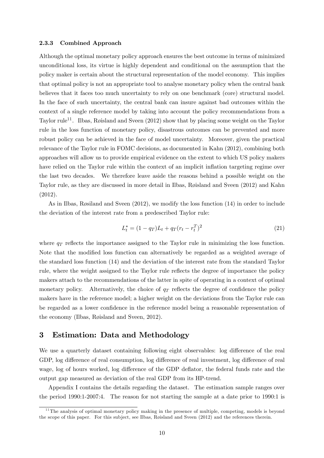#### 2.3.3 Combined Approach

Although the optimal monetary policy approach ensures the best outcome in terms of minimized unconditional loss, its virtue is highly dependent and conditional on the assumption that the policy maker is certain about the structural representation of the model economy. This implies that optimal policy is not an appropriate tool to analyse monetary policy when the central bank believes that it faces too much uncertainty to rely on one benchmark (core) structural model. In the face of such uncertainty, the central bank can insure against bad outcomes within the context of a single reference model by taking into account the policy recommendations from a Taylor rule<sup>11</sup>. Ilbas, Røisland and Sveen  $(2012)$  show that by placing some weight on the Taylor rule in the loss function of monetary policy, disastrous outcomes can be prevented and more robust policy can be achieved in the face of model uncertainty. Moreover, given the practical relevance of the Taylor rule in FOMC decisions, as documented in Kahn (2012), combining both approaches will allow us to provide empirical evidence on the extent to which US policy makers have relied on the Taylor rule within the context of an implicit inflation targeting regime over the last two decades. We therefore leave aside the reasons behind a possible weight on the Taylor rule, as they are discussed in more detail in Ilbas, Røisland and Sveen (2012) and Kahn (2012).

As in Ilbas, Røsiland and Sveen  $(2012)$ , we modify the loss function  $(14)$  in order to include the deviation of the interest rate from a predescribed Taylor rule:

$$
L_t^* = (1 - q_T)L_t + q_T(r_t - r_t^T)^2
$$
\n(21)

where  $q_T$  reflects the importance assigned to the Taylor rule in minimizing the loss function. Note that the modified loss function can alternatively be regarded as a weighted average of the standard loss function (14) and the deviation of the interest rate from the standard Taylor rule, where the weight assigned to the Taylor rule reflects the degree of importance the policy makers attach to the recommendations of the latter in spite of operating in a context of optimal monetary policy. Alternatively, the choice of  $q_T$  reflects the degree of confidence the policy makers have in the reference model; a higher weight on the deviations from the Taylor rule can be regarded as a lower confidence in the reference model being a reasonable representation of the economy (Ilbas, Røisland and Sveen, 2012).

## 3 Estimation: Data and Methodology

We use a quarterly dataset containing following eight observables: log difference of the real GDP, log difference of real consumption, log difference of real investment, log difference of real wage, log of hours worked, log difference of the GDP deflator, the federal funds rate and the output gap measured as deviation of the real GDP from its HP-trend.

Appendix I contains the details regarding the dataset. The estimation sample ranges over the period 1990:1-2007:4. The reason for not starting the sample at a date prior to 1990:1 is

 $11$ The analysis of optimal monetary policy making in the presence of multiple, competing, models is beyond the scope of this paper. For this subject, see Ilbas, Røisland and Sveen (2012) and the references therein.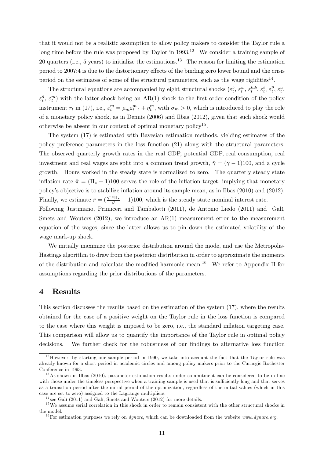that it would not be a realistic assumption to allow policy makers to consider the Taylor rule a long time before the rule was proposed by Taylor in  $1993$ <sup>12</sup> We consider a training sample of 20 quarters (i.e., 5 years) to initialize the estimations.<sup>13</sup> The reason for limiting the estimation period to 2007:4 is due to the distortionary effects of the binding zero lower bound and the crisis period on the estimates of some of the structural parameters, such as the wage rigidities<sup>14</sup>.

The structural equations are accompanied by eight structural shocks  $(\varepsilon_t^b, \varepsilon_t^w, \varepsilon_t^{lab}, \varepsilon_t^i, \varepsilon_t^{fe})$  $_t^p, \varepsilon_t^a,$  $\varepsilon_t^g$  $(t, \varepsilon_t^m)$  with the latter shock being an AR(1) shock to the first order condition of the policy instrument  $r_t$  in (17), i.e.,  $\varepsilon_t^m = \rho_m \varepsilon_{t-1}^m + \eta_t^m$ , with  $\sigma_m > 0$ , which is introduced to play the role of a monetary policy shock, as in Dennis (2006) and Ilbas (2012), given that such shock would otherwise be absent in our context of optimal monetary policy<sup>15</sup>.

The system (17) is estimated with Bayesian estimation methods, yielding estimates of the policy preference parameters in the loss function (21) along with the structural parameters. The observed quarterly growth rates in the real GDP, potential GDP, real consumption, real investment and real wages are split into a common trend growth,  $\overline{\gamma} = (\gamma - 1)100$ , and a cycle growth. Hours worked in the steady state is normalized to zero. The quarterly steady state inflation rate  $\bar{\pi} = (\Pi_* - 1)100$  serves the role of the inflation target, implying that monetary policy's objective is to stabilize inflation around its sample mean, as in Ilbas (2010) and (2012). Finally, we estimate  $\bar{r} = (\frac{\gamma^{\sigma_c} \Pi_*}{\beta} - 1)100$ , which is the steady state nominal interest rate.

Following Justiniano, Primiceri and Tambalotti (2011), de Antonio Liedo (2011) and Galí, Smets and Wouters (2012), we introduce an AR(1) measurement error to the measurement equation of the wages, since the latter allows us to pin down the estimated volatility of the wage mark-up shock.

We initially maximize the posterior distribution around the mode, and use the Metropolis-Hastings algorithm to draw from the posterior distribution in order to approximate the moments of the distribution and calculate the modified harmonic mean.<sup>16</sup> We refer to Appendix II for assumptions regarding the prior distributions of the parameters.

## 4 Results

This section discusses the results based on the estimation of the system (17), where the results obtained for the case of a positive weight on the Taylor rule in the loss function is compared to the case where this weight is imposed to be zero, i.e., the standard inflation targeting case. This comparison will allow us to quantify the importance of the Taylor rule in optimal policy decisions. We further check for the robustness of our findings to alternative loss function

 $12$ However, by starting our sample period in 1990, we take into account the fact that the Taylor rule was already known for a short period in academic circles and among policy makers prior to the Carnegie Rochester Conference in 1993.

 $13\text{As}$  shown in Ilbas (2010), parameter estimation results under commitment can be considered to be in line with those under the timeless perspective when a training sample is used that is sufficiently long and that serves as a transition period after the initial period of the optimization, regardless of the initial values (which in this case are set to zero) assigned to the Lagrange multipliers.

 $14$  see Galí (2011) and Galí, Smets and Wouters (2012) for more details.

 $15$  We assume serial correlation in this shock in order to remain consistent with the other structural shocks in the model.

 $16$  For estimation purposes we rely on *dynare*, which can be downloaded from the website *www.dynare.org.*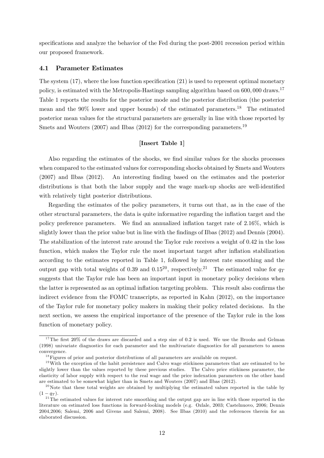specifications and analyze the behavior of the Fed during the post-2001 recession period within our proposed framework.

#### 4.1 Parameter Estimates

The system  $(17)$ , where the loss function specification  $(21)$  is used to represent optimal monetary policy, is estimated with the Metropolis-Hastings sampling algorithm based on 600,000 draws.<sup>17</sup> Table 1 reports the results for the posterior mode and the posterior distribution (the posterior mean and the 90% lower and upper bounds) of the estimated parameters.<sup>18</sup> The estimated posterior mean values for the structural parameters are generally in line with those reported by Smets and Wouters  $(2007)$  and Ilbas  $(2012)$  for the corresponding parameters.<sup>19</sup>

#### [Insert Table 1]

Also regarding the estimates of the shocks, we find similar values for the shocks processes when compared to the estimated values for corresponding shocks obtained by Smets and Wouters (2007) and Ilbas (2012). An interesting Önding based on the estimates and the posterior distributions is that both the labor supply and the wage mark-up shocks are well-identified with relatively tight posterior distributions.

Regarding the estimates of the policy parameters, it turns out that, as in the case of the other structural parameters, the data is quite informative regarding the ináation target and the policy preference parameters. We find an annualized inflation target rate of  $2.16\%$ , which is slightly lower than the prior value but in line with the findings of Ilbas (2012) and Dennis (2004). The stabilization of the interest rate around the Taylor rule receives a weight of 0.42 in the loss function, which makes the Taylor rule the most important target after inflation stabilization according to the estimates reported in Table 1, followed by interest rate smoothing and the output gap with total weights of 0.39 and 0.15<sup>20</sup>, respectively.<sup>21</sup> The estimated value for  $q_T$ suggests that the Taylor rule has been an important input in monetary policy decisions when the latter is represented as an optimal inflation targeting problem. This result also confirms the indirect evidence from the FOMC transcripts, as reported in Kahn (2012), on the importance of the Taylor rule for monetary policy makers in making their policy related decisions. In the next section, we assess the empirical importance of the presence of the Taylor rule in the loss function of monetary policy.

 $17$ The first 20% of the draws are discarded and a step size of 0.2 is used. We use the Brooks and Gelman (1998) univariate diagnostics for each parameter and the multivariate diagnostics for all parameters to assess convergence.

 $18$  Figures of prior and posterior distributions of all parameters are available on request.

 $19$ With the exception of the habit persistence and Calvo wage stickiness parameters that are estimated to be slightly lower than the values reported by these previous studies. The Calvo price stickiness parameter, the elasticity of labor supply with respect to the real wage and the price indexation parameters on the other hand are estimated to be somewhat higher than in Smets and Wouters (2007) and Ilbas (2012).

<sup>&</sup>lt;sup>20</sup>Note that these total weights are obtained by multiplying the estimated values reported in the table by  $(1 - q_T)$ .

 $21$ <sup>11</sup>The estimated values for interest rate smoothing and the output gap are in line with those reported in the literature on estimated loss functions in forward-looking models (e.g. Ozlale, 2003; Castelnuovo, 2006; Dennis 2004,2006; Salemi, 2006 and Givens and Salemi, 2008). See Ilbas (2010) and the references therein for an elaborated discussion.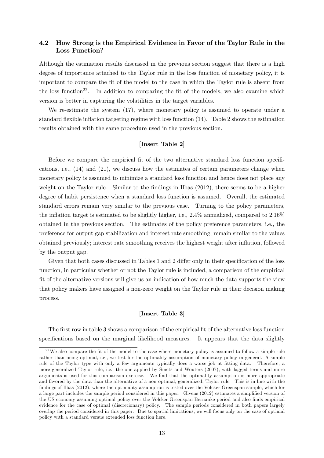## 4.2 How Strong is the Empirical Evidence in Favor of the Taylor Rule in the Loss Function?

Although the estimation results discussed in the previous section suggest that there is a high degree of importance attached to the Taylor rule in the loss function of monetary policy, it is important to compare the fit of the model to the case in which the Taylor rule is absent from the loss function<sup>22</sup>. In addition to comparing the fit of the models, we also examine which version is better in capturing the volatilities in the target variables.

We re-estimate the system (17), where monetary policy is assumed to operate under a standard flexible inflation targeting regime with loss function  $(14)$ . Table 2 shows the estimation results obtained with the same procedure used in the previous section.

#### [Insert Table 2]

Before we compare the empirical fit of the two alternative standard loss function specifications, i.e., (14) and (21), we discuss how the estimates of certain parameters change when monetary policy is assumed to minimize a standard loss function and hence does not place any weight on the Taylor rule. Similar to the findings in Ilbas (2012), there seems to be a higher degree of habit persistence when a standard loss function is assumed. Overall, the estimated standard errors remain very similar to the previous case. Turning to the policy parameters, the inflation target is estimated to be slightly higher, i.e.,  $2.4\%$  annualized, compared to  $2.16\%$ obtained in the previous section. The estimates of the policy preference parameters, i.e., the preference for output gap stabilization and interest rate smoothing, remain similar to the values obtained previously; interest rate smoothing receives the highest weight after inflation, followed by the output gap.

Given that both cases discussed in Tables 1 and 2 differ only in their specification of the loss function, in particular whether or not the Taylor rule is included, a comparison of the empirical Öt of the alternative versions will give us an indication of how much the data supports the view that policy makers have assigned a non-zero weight on the Taylor rule in their decision making process.

#### [Insert Table 3]

The first row in table 3 shows a comparison of the empirical fit of the alternative loss function specifications based on the marginal likelihood measures. It appears that the data slightly

<sup>&</sup>lt;sup>22</sup>We also compare the fit of the model to the case where monetary policy is assumed to follow a simple rule rather than being optimal, i.e., we test for the optimality assumption of monetary policy in general. A simple rule of the Taylor type with only a few arguments typically does a worse job at fitting data. Therefore, a more generalized Taylor rule, i.e., the one applied by Smets and Wouters (2007), with lagged terms and more arguments is used for this comparison exercise. We find that the optimality assumption is more appropriate and favored by the data than the alternative of a non-optimal, generalized, Taylor rule. This is in line with the findings of Ilbas (2012), where the optimality assumption is tested over the Volcker-Greenspan sample, which for a large part includes the sample period considered in this paper. Givens (2012) estimates a simplified version of the US economy assuming optimal policy over the Volcker-Greenspan-Bernanke period and also finds empirical evidence for the case of optimal (discretionary) policy. The sample periods considered in both papers largely overlap the period considered in this paper. Due to spatial limitations, we will focus only on the case of optimal policy with a standard versus extended loss function here.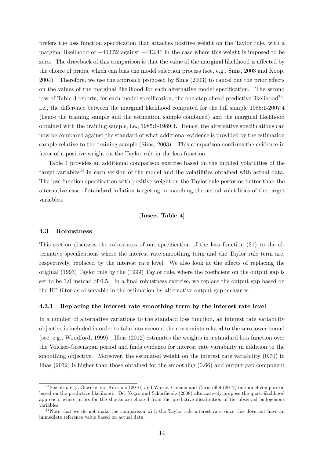prefers the loss function specification that attaches positive weight on the Taylor rule, with a marginal likelihood of  $-402.52$  against  $-413.41$  in the case where this weight is imposed to be zero. The drawback of this comparison is that the value of the marginal likelihood is affected by the choice of priors, which can bias the model selection process (see, e.g., Sims, 2003 and Koop, 2004). Therefore, we use the approach proposed by  $Sims$  (2003) to cancel out the prior effects on the values of the marginal likelihood for each alternative model specification. The second row of Table 3 reports, for each model specification, the one-step-ahead predictive likelihood<sup>23</sup>, i.e., the difference between the marginal likelihood computed for the full sample 1985:1-2007:4 (hence the training sample and the estimation sample combined) and the marginal likelihood obtained with the training sample, i.e.,  $1985:1-1989:4$ . Hence, the alternative specifications can now be compared against the standard of what additional evidence is provided by the estimation sample relative to the training sample (Sims, 2003). This comparison confirms the evidence in favor of a positive weight on the Taylor rule in the loss function.

Table 4 provides an additional comparison exercise based on the implied volatilities of the target variables<sup>24</sup> in each version of the model and the volatilities obtained with actual data. The loss function specification with positive weight on the Taylor rule performs better than the alternative case of standard inflation targeting in matching the actual volatilities of the target variables.

## [Insert Table 4]

#### 4.3 Robustness

This section discusses the robustness of our specification of the loss function  $(21)$  to the alternative specifications where the interest rate smoothing term and the Taylor rule term are, respectively, replaced by the interest rate level. We also look at the effects of replacing the original (1993) Taylor rule by the  $(1999)$  Taylor rule, where the coefficient on the output gap is set to be  $1.0$  instead of  $0.5$ . In a final robustness exercise, we replace the output gap based on the HP-filter as observable in the estimation by alternative output gap measures.

#### 4.3.1 Replacing the interest rate smoothing term by the interest rate level

In a number of alternative variations to the standard loss function, an interest rate variability objective is included in order to take into account the constraints related to the zero lower bound (see, e.g., Woodford, 1999). Ilbas (2012) estimates the weights in a standard loss function over the Volcker-Greenspan period and finds evidence for interest rate variability in addition to the smoothing objective. Moreover, the estimated weight on the interest rate variability  $(0.70)$  in Ilbas (2012) is higher than those obtained for the smoothing (0:66) and output gap component

 $^{23}$ See also, e.g., Geweke and Amisano (2010) and Warne, Coenen and Christoffel (2012) on model comparison based on the predictive likelihood. Del Negro and Schorfheide (2008) alternatively propose the quasi-likelihood approach, where priors for the shocks are elicited from the predictive distribution of the observed endogenous variables.

 $2<sup>4</sup>$  Note that we do not make the comparison with the Taylor rule interest rate since this does not have an immediate reference value based on actual data.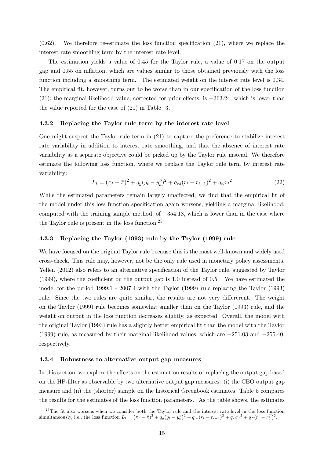$(0.62)$ . We therefore re-estimate the loss function specification  $(21)$ , where we replace the interest rate smoothing term by the interest rate level.

The estimation yields a value of 0:45 for the Taylor rule, a value of 0:17 on the output gap and 0:55 on ináation, which are values similar to those obtained previously with the loss function including a smoothing term. The estimated weight on the interest rate level is 0.34. The empirical fit, however, turns out to be worse than in our specification of the loss function  $(21)$ ; the marginal likelihood value, corrected for prior effects, is  $-363.24$ , which is lower than the value reported for the case of (21) in Table 3.

#### 4.3.2 Replacing the Taylor rule term by the interest rate level

One might suspect the Taylor rule term in (21) to capture the preference to stabilize interest rate variability in addition to interest rate smoothing, and that the absence of interest rate variability as a separate objective could be picked up by the Taylor rule instead. We therefore estimate the following loss function, where we replace the Taylor rule term by interest rate variability:

$$
L_t = (\pi_t - \bar{\pi})^2 + q_y(y_t - y_t^p)^2 + q_{rd}(r_t - r_{t-1})^2 + q_{rl}r_t^2
$$
\n(22)

While the estimated parameters remain largely unaffected, we find that the empirical fit of the model under this loss function specification again worsens, yielding a marginal likelihood, computed with the training sample method, of  $-354.18$ , which is lower than in the case where the Taylor rule is present in the loss function.<sup>25</sup>

#### 4.3.3 Replacing the Taylor (1993) rule by the Taylor (1999) rule

We have focused on the original Taylor rule because this is the most well-known and widely used cross-check. This rule may, however, not be the only rule used in monetary policy assessments. Yellen (2012) also refers to an alternative specification of the Taylor rule, suggested by Taylor (1999), where the coefficient on the output gap is  $1.0$  instead of  $0.5$ . We have estimated the model for the period 1999:1 - 2007:4 with the Taylor (1999) rule replacing the Taylor (1993) rule. Since the two rules are quite similar, the results are not very differerent. The weight on the Taylor (1999) rule becomes somewhat smaller than on the Taylor (1993) rule, and the weight on output in the loss function decreases slightly, as expected. Overall, the model with the original Taylor (1993) rule has a slightly better empirical fit than the model with the Taylor (1999) rule, as measured by their marginal likelihood values, which are  $-251.03$  and  $-255.40$ , respectively.

#### 4.3.4 Robustness to alternative output gap measures

In this section, we explore the effects on the estimation results of replacing the output gap based on the HP-filter as observable by two alternative output gap measures: (i) the CBO output gap measure and (ii) the (shorter) sample on the historical Greenbook estimates. Table 5 compares the results for the estimates of the loss function parameters. As the table shows, the estimates

<sup>&</sup>lt;sup>25</sup>The fit also worsens when we consider both the Taylor rule and the interest rate level in the loss function simultaneously, i.e., the loss function  $L_t = (\pi_t - \bar{\pi})^2 + q_y(y_t - y_t^p)^2 + q_{rd}(r_t - r_{t-1})^2 + q_{rl}r_t^2 + q_T(r_t - r_t^T)^2$ .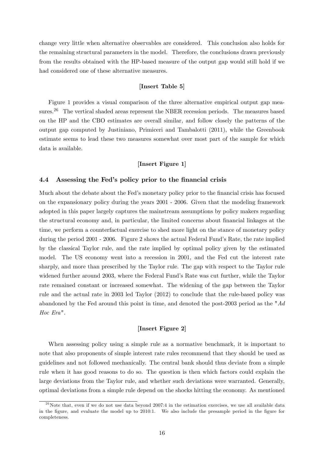change very little when alternative observables are considered. This conclusion also holds for the remaining structural parameters in the model. Therefore, the conclusions drawn previously from the results obtained with the HP-based measure of the output gap would still hold if we had considered one of these alternative measures.

## [Insert Table 5]

Figure 1 provides a visual comparison of the three alternative empirical output gap measures.<sup>26</sup> The vertical shaded areas represent the NBER recession periods. The measures based on the HP and the CBO estimates are overall similar, and follow closely the patterns of the output gap computed by Justiniano, Primiceri and Tambalotti (2011), while the Greenbook estimate seems to lead these two measures somewhat over most part of the sample for which data is available.

## [Insert Figure 1]

#### 4.4 Assessing the Fed's policy prior to the financial crisis

Much about the debate about the Fed's monetary policy prior to the financial crisis has focused on the expansionary policy during the years 2001 - 2006. Given that the modeling framework adopted in this paper largely captures the mainstream assumptions by policy makers regarding the structural economy and, in particular, the limited concerns about financial linkages at the time, we perform a counterfactual exercise to shed more light on the stance of monetary policy during the period 2001 - 2006. Figure 2 shows the actual Federal Fund's Rate, the rate implied by the classical Taylor rule, and the rate implied by optimal policy given by the estimated model. The US economy went into a recession in 2001, and the Fed cut the interest rate sharply, and more than prescribed by the Taylor rule. The gap with respect to the Taylor rule widened further around 2003, where the Federal Fund's Rate was cut further, while the Taylor rate remained constant or increased somewhat. The widening of the gap between the Taylor rule and the actual rate in 2003 led Taylor (2012) to conclude that the rule-based policy was abandoned by the Fed around this point in time, and denoted the post-2003 period as the "Ad Hoc Era".

#### [Insert Figure 2]

When assessing policy using a simple rule as a normative benchmark, it is important to note that also proponents of simple interest rate rules recommend that they should be used as guidelines and not followed mechanically. The central bank should thus deviate from a simple rule when it has good reasons to do so. The question is then which factors could explain the large deviations from the Taylor rule, and whether such deviations were warranted. Generally, optimal deviations from a simple rule depend on the shocks hitting the economy. As mentioned

 $26$ Note that, even if we do not use data beyond 2007:4 in the estimation exercises, we use all available data in the figure, and evaluate the model up to 2010:1. We also include the presample period in the figure for completeness.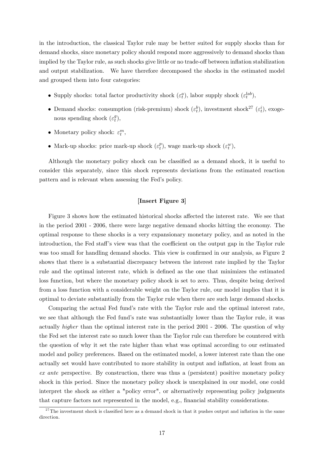in the introduction, the classical Taylor rule may be better suited for supply shocks than for demand shocks, since monetary policy should respond more aggressively to demand shocks than implied by the Taylor rule, as such shocks give little or no trade-off between inflation stabilization and output stabilization. We have therefore decomposed the shocks in the estimated model and grouped them into four categories:

- Supply shocks: total factor productivity shock  $(\varepsilon_t^a)$ , labor supply shock  $(\varepsilon_t^{lab})$ ,
- Demand shocks: consumption (risk-premium) shock  $(\varepsilon_t^b)$ , investment shock<sup>27</sup>  $(\varepsilon_t^i)$ , exogenous spending shock  $(\varepsilon_t^g)$  $_t^g),$
- Monetary policy shock:  $\varepsilon_t^m$ ,
- $\bullet\,$  Mark-up shocks: price mark-up shock  $(\varepsilon^p_t$  $_t^p$ , wage mark-up shock  $(\varepsilon_t^w)$ ,

Although the monetary policy shock can be classified as a demand shock, it is useful to consider this separately, since this shock represents deviations from the estimated reaction pattern and is relevant when assessing the Fed's policy.

## [Insert Figure 3]

Figure 3 shows how the estimated historical shocks affected the interest rate. We see that in the period 2001 - 2006, there were large negative demand shocks hitting the economy. The optimal response to these shocks is a very expansionary monetary policy, and as noted in the introduction, the Fed staff's view was that the coefficient on the output gap in the Taylor rule was too small for handling demand shocks. This view is confirmed in our analysis, as Figure 2 shows that there is a substantial discrepancy between the interest rate implied by the Taylor rule and the optimal interest rate, which is defined as the one that minimizes the estimated loss function, but where the monetary policy shock is set to zero. Thus, despite being derived from a loss function with a considerable weight on the Taylor rule, our model implies that it is optimal to deviate substantially from the Taylor rule when there are such large demand shocks.

Comparing the actual Fed fundís rate with the Taylor rule and the optimal interest rate, we see that although the Fed fund's rate was substantially lower than the Taylor rule, it was actually higher than the optimal interest rate in the period 2001 - 2006. The question of why the Fed set the interest rate so much lower than the Taylor rule can therefore be countered with the question of why it set the rate higher than what was optimal according to our estimated model and policy preferences. Based on the estimated model, a lower interest rate than the one actually set would have contributed to more stability in output and inflation, at least from an ex ante perspective. By construction, there was thus a (persistent) positive monetary policy shock in this period. Since the monetary policy shock is unexplained in our model, one could interpret the shock as either a "policy error", or alternatively representing policy judgments that capture factors not represented in the model, e.g., financial stability considerations.

 $^{27}$ The investment shock is classified here as a demand shock in that it pushes output and inflation in the same direction.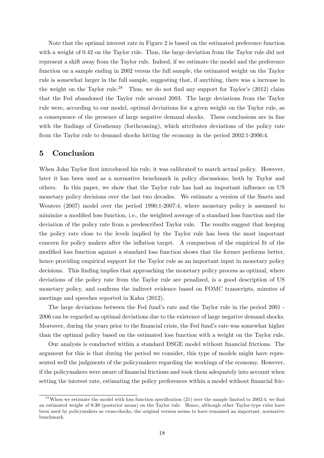Note that the optimal interest rate in Figure 2 is based on the estimated preference function with a weight of 0.42 on the Taylor rule. Thus, the large deviation from the Taylor rule did not represent a shift away from the Taylor rule. Indeed, if we estimate the model and the preference function on a sample ending in 2002 versus the full sample, the estimated weight on the Taylor rule is somewhat larger in the full sample, suggesting that, if anything, there was a increase in the weight on the Taylor rule.<sup>28</sup> Thus, we do not find any support for Taylor's  $(2012)$  claim that the Fed abandoned the Taylor rule around 2003. The large deviations from the Taylor rule were, according to our model, optimal deviations for a given weight on the Taylor rule, as a consequence of the presence of large negative demand shocks. These conclusions are in line with the findings of Groshenny (forthcoming), which attributes deviations of the policy rate from the Taylor rule to demand shocks hitting the economy in the period 2002:1-2006:4.

## 5 Conclusion

When John Taylor first introduced his rule, it was calibrated to match actual policy. However, later it has been used as a normative benchmark in policy discussions, both by Taylor and others. In this paper, we show that the Taylor rule has had an important ináuence on US monetary policy decisions over the last two decades. We estimate a version of the Smets and Wouters (2007) model over the period 1990:1-2007:4, where monetary policy is assumed to minimize a modified loss function, i.e., the weighted average of a standard loss function and the deviation of the policy rate from a predescribed Taylor rule. The results suggest that keeping the policy rate close to the levels implied by the Taylor rule has been the most important concern for policy makers after the inflation target. A comparison of the empirical fit of the modified loss function against a standard loss function shows that the former performs better, hence providing empirical support for the Taylor rule as an important input in monetary policy decisions. This finding implies that approaching the monetary policy process as optimal, where deviations of the policy rate from the Taylor rule are penalized, is a good description of US monetary policy, and confirms the indirect evidence based on FOMC transcripts, minutes of meetings and speeches reported in Kahn (2012).

The large deviations between the Fed fund's rate and the Taylor rule in the period 2001 -2006 can be regarded as optimal deviations due to the existence of large negative demand shocks. Moreover, during the years prior to the financial crisis, the Fed fund's rate was somewhat higher than the optimal policy based on the estimated loss function with a weight on the Taylor rule.

Our analysis is conducted within a standard DSGE model without Önancial frictions. The argument for this is that during the period we consider, this type of models might have represented well the judgments of the policymakers regarding the workings of the economy. However, if the policymakers were aware of financial frictions and took them adequately into account when setting the interest rate, estimating the policy preferences within a model without financial fric-

 $^{28}$ When we estimate the model with loss function specification (21) over the sample limited to 2002:4, we find an estimated weight of 0:39 (posterior mean) on the Taylor rule. Hence, although other Taylor-type rules have been used by policymakers as cross-checks, the original version seems to have remained an important, normative benchmark.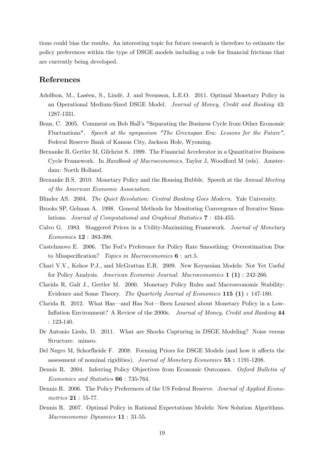tions could bias the results. An interesting topic for future research is therefore to estimate the policy preferences within the type of DSGE models including a role for Önancial frictions that are currently being developed.

## References

- Adolfson, M., Laséen, S., Lindé, J. and Svensson, L.E.O. 2011. Optimal Monetary Policy in an Operational Medium-Sized DSGE Model. Journal of Money, Credit and Banking 43: 1287-1331.
- Bean, C. 2005. Comment on Bob Hallís "Separating the Business Cycle from Other Economic Fluctuations". Speech at the symposium "The Greenspan Era: Lessons for the Future", Federal Reserve Bank of Kansas City, Jackson Hole, Wyoming.
- Bernanke B, Gertler M, Gilchrist S. 1999. The Financial Accelerator in a Quantitative Business Cycle Framework. In *Handbook of Macroeconomics*, Taylor J, Woodford M (eds). Amsterdam: North Holland.
- Bernanke B.S. 2010. Monetary Policy and the Housing Bubble. Speech at the Annual Meeting of the American Economic Association.
- Blinder AS. 2004. The Quiet Revolution: Central Banking Goes Modern. Yale University.
- Brooks SP, Gelman A. 1998. General Methods for Monitoring Convergence of Iterative Simulations. Journal of Computational and Graphical Statistics 7 : 434-455.
- Calvo G. 1983. Staggered Prices in a Utility-Maximizing Framework. Journal of Monetary Economics 12 : 383-398.
- Castelnuovo E. 2006. The Fedís Preference for Policy Rate Smoothing: Overestimation Due to Misspecification? Topics in Macroeconomics  $6:$  art.5.
- Chari V.V., Kehoe P.J., and McGrattan E.R. 2009. New Keynesian Models: Not Yet Useful for Policy Analysis. American Economic Journal: Macroeconomics 1 (1) : 242-266.
- Clarida R, Galí J., Gertler M. 2000. Monetary Policy Rules and Macroeconomic Stability: Evidence and Some Theory. The Quarterly Journal of Economics 115 (1) : 147-180.
- Clarida R. 2012. What Has—and Has Not—Been Learned about Monetary Policy in a Low-Inflation Environment? A Review of the 2000s. Journal of Money, Credit and Banking 44 : 123-140.
- De Antonio Liedo, D. 2011. What are Shocks Capturing in DSGE Modeling? Noise versus Structure. mimeo.
- Del Negro M, Schorfheide F. 2008. Forming Priors for DSGE Models (and how it affects the assessment of nominal rigidities). Journal of Monetary Economics 55 : 1191-1208.
- Dennis R. 2004. Inferring Policy Objectives from Economic Outcomes. Oxford Bulletin of Economics and Statistics 66 : 735-764.
- Dennis R. 2006. The Policy Preferences of the US Federal Reserve. Journal of Applied Econometrics 21 : 55-77.
- Dennis R. 2007. Optimal Policy in Rational Expectations Models: New Solution Algorithms. Macroeconomic Dynamics 11 : 31-55.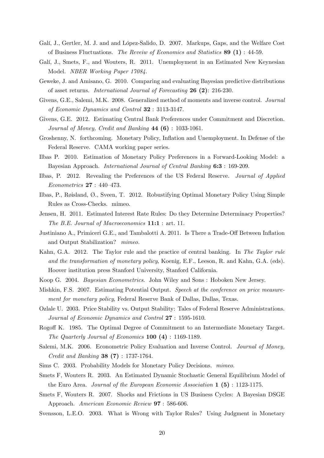- Galí, J., Gertler, M. J. and and López-Salido, D. 2007. Markups, Gaps, and the Welfare Cost of Business Fluctuations. The Reveiw of Economics and Statistics 89 (1) : 44-59.
- Galí, J., Smets, F., and Wouters, R. 2011. Unemployment in an Estimated New Keynesian Model. NBER Working Paper 17084.
- Geweke, J. and Amisano, G. 2010. Comparing and evaluating Bayesian predictive distributions of asset returns. International Journal of Forecasting 26 (2): 216-230.
- Givens, G.E., Salemi, M.K. 2008. Generalized method of moments and inverse control. Journal of Economic Dynamics and Control 32 : 3113-3147.
- Givens, G.E. 2012. Estimating Central Bank Preferences under Commitment and Discretion. Journal of Money, Credit and Banking  $44 (6) : 1033-1061$ .
- Groshenny, N. forthcoming. Monetary Policy, Ináation and Unemployment. In Defense of the Federal Reserve. CAMA working paper series.
- Ilbas P. 2010. Estimation of Monetary Policy Preferences in a Forward-Looking Model: a Bayesian Approach. International Journal of Central Banking 6:3 : 169-209.
- Ilbas, P. 2012. Revealing the Preferences of the US Federal Reserve. Journal of Applied  $Econometrics 27 : 440-473.$
- Ilbas, P., Røisland, Ø., Sveen, T. 2012. Robustifying Optimal Monetary Policy Using Simple Rules as Cross-Checks. mimeo.
- Jensen, H. 2011. Estimated Interest Rate Rules: Do they Determine Determinacy Properties? The B.E. Journal of Macroeconomics **11:1** : art. 11.
- Justiniano A., Primiceri G.E., and Tambalotti A. 2011. Is There a Trade-Off Between Inflation and Output Stabilization? mimeo.
- Kahn, G.A. 2012. The Taylor rule and the practice of central banking. In The Taylor rule and the transformation of monetary policy, Koenig, E.F., Leeson, R. and Kahn, G.A. (eds). Hoover institution press Stanford University, Stanford California.
- Koop G. 2004. Bayesian Econometrics. John Wiley and Sons : Hoboken New Jersey.
- Mishkin, F.S. 2007. Estimating Potential Output. Speech at the conference on price measurement for monetary policy, Federal Reserve Bank of Dallas, Dallas, Texas.
- Ozlale U. 2003. Price Stability vs. Output Stability: Tales of Federal Reserve Administrations. Journal of Economic Dynamics and Control 27 : 1595-1610.
- Rogo§ K. 1985. The Optimal Degree of Commitment to an Intermediate Monetary Target. The Quarterly Journal of Economics 100 (4) : 1169-1189.
- Salemi, M.K. 2006. Econometric Policy Evaluation and Inverse Control. Journal of Money, Credit and Banking 38 (7) : 1737-1764.
- Sims C. 2003. Probability Models for Monetary Policy Decisions. mimeo.
- Smets F, Wouters R. 2003. An Estimated Dynamic Stochastic General Equilibrium Model of the Euro Area. Journal of the European Economic Association  $1(5)$ : 1123-1175.
- Smets F, Wouters R. 2007. Shocks and Frictions in US Business Cycles: A Bayesian DSGE Approach. American Economic Review 97 : 586-606.
- Svensson, L.E.O. 2003. What is Wrong with Taylor Rules? Using Judgment in Monetary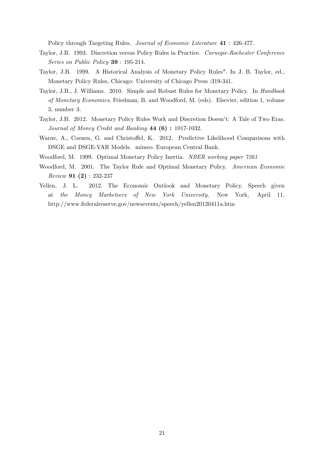Policy through Targeting Rules. Journal of Economic Literature 41 : 426-477.

- Taylor, J.B. 1993. Discretion versus Policy Rules in Practice. Carnegie-Rochester Conference Series on Public Policy 39 : 195-214.
- Taylor, J.B. 1999. A Historical Analysis of Monetary Policy Rules". In J. B. Taylor, ed., Monetary Policy Rules, Chicago: University of Chicago Press :319-341.
- Taylor, J.B., J. Williams. 2010. Simple and Robust Rules for Monetary Policy. In *Handbook* of Monetary Economics, Friedman, B. and Woodford, M. (eds). Elsevier, edition 1, volume 3, number 3.
- Taylor, J.B. 2012. Monetary Policy Rules Work and Discretion Doesnít: A Tale of Two Eras. Journal of Money Credit and Banking 44 (6) : 1017-1032.
- Warne, A., Coenen, G. and Christoffel, K. 2012. Predictive Likelihood Comparisons with DSGE and DSGE-VAR Models. mimeo. European Central Bank.
- Woodford, M. 1999. Optimal Monetary Policy Inertia. NBER working paper 7261
- Woodford, M. 2001. The Taylor Rule and Optimal Monetary Policy. American Economic Review 91 (2) : 232-237
- Yellen, J. L. 2012. The Economic Outlook and Monetary Policy. Speech given at the Money Marketeers of New York University, New York, April 11. http://www.federalreserve.gov/newsevents/speech/yellen20120411a.htm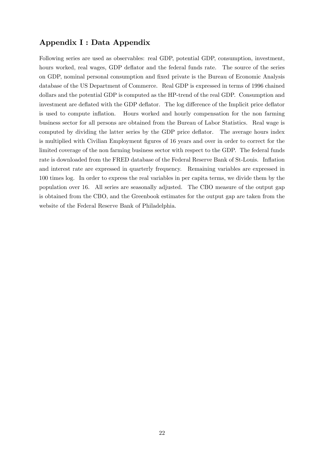## Appendix I : Data Appendix

Following series are used as observables: real GDP, potential GDP, consumption, investment, hours worked, real wages, GDP deflator and the federal funds rate. The source of the series on GDP, nominal personal consumption and Öxed private is the Bureau of Economic Analysis database of the US Department of Commerce. Real GDP is expressed in terms of 1996 chained dollars and the potential GDP is computed as the HP-trend of the real GDP. Consumption and investment are deflated with the GDP deflator. The log difference of the Implicit price deflator is used to compute inflation. Hours worked and hourly compensation for the non farming business sector for all persons are obtained from the Bureau of Labor Statistics. Real wage is computed by dividing the latter series by the GDP price deflator. The average hours index is multiplied with Civilian Employment figures of 16 years and over in order to correct for the limited coverage of the non farming business sector with respect to the GDP. The federal funds rate is downloaded from the FRED database of the Federal Reserve Bank of St-Louis. Inflation and interest rate are expressed in quarterly frequency. Remaining variables are expressed in 100 times log. In order to express the real variables in per capita terms, we divide them by the population over 16. All series are seasonally adjusted. The CBO measure of the output gap is obtained from the CBO, and the Greenbook estimates for the output gap are taken from the website of the Federal Reserve Bank of Philadelphia.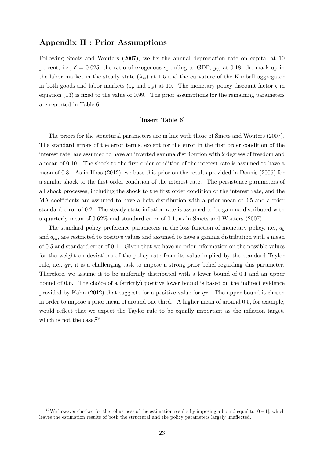## Appendix II : Prior Assumptions

Following Smets and Wouters  $(2007)$ , we fix the annual depreciation rate on capital at 10 percent, i.e.,  $\delta = 0.025$ , the ratio of exogenous spending to GDP,  $g_y$ , at 0.18, the mark-up in the labor market in the steady state  $(\lambda_w)$  at 1.5 and the curvature of the Kimball aggregator in both goods and labor markets ( $\varepsilon_p$  and  $\varepsilon_w$ ) at 10. The monetary policy discount factor  $\varsigma$  in equation  $(13)$  is fixed to the value of 0.99. The prior assumptions for the remaining parameters are reported in Table 6.

#### [Insert Table 6]

The priors for the structural parameters are in line with those of Smets and Wouters (2007). The standard errors of the error terms, except for the error in the first order condition of the interest rate, are assumed to have an inverted gamma distribution with 2 degrees of freedom and a mean of 0.10. The shock to the first order condition of the interest rate is assumed to have a mean of 0.3. As in Ilbas  $(2012)$ , we base this prior on the results provided in Dennis  $(2006)$  for a similar shock to the Örst order condition of the interest rate. The persistence parameters of all shock processes, including the shock to the first order condition of the interest rate, and the MA coefficients are assumed to have a beta distribution with a prior mean of 0.5 and a prior standard error of 0.2. The steady state inflation rate is assumed to be gamma-distributed with a quarterly mean of 0:62% and standard error of 0:1, as in Smets and Wouters (2007).

The standard policy preference parameters in the loss function of monetary policy, i.e.,  $q_y$ and  $q_{rd}$ , are restricted to positive values and assumed to have a gamma distribution with a mean of 0:5 and standard error of 0:1. Given that we have no prior information on the possible values for the weight on deviations of the policy rate from its value implied by the standard Taylor rule, i.e.,  $q_T$ , it is a challenging task to impose a strong prior belief regarding this parameter. Therefore, we assume it to be uniformly distributed with a lower bound of 0:1 and an upper bound of 0:6. The choice of a (strictly) positive lower bound is based on the indirect evidence provided by Kahn (2012) that suggests for a positive value for  $q_T$ . The upper bound is chosen in order to impose a prior mean of around one third. A higher mean of around 0:5, for example, would reflect that we expect the Taylor rule to be equally important as the inflation target, which is not the case.<sup>29</sup>

<sup>&</sup>lt;sup>29</sup>We however checked for the robustness of the estimation results by imposing a bound equal to  $[0-1]$ , which leaves the estimation results of both the structural and the policy parameters largely unaffected.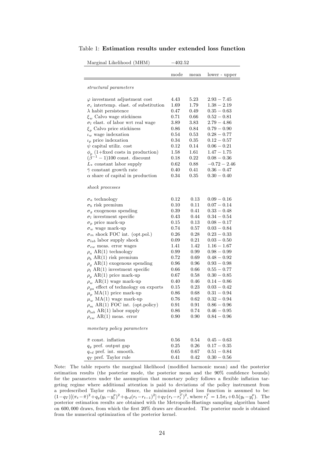| Marginal Likelihood (MHM)                    | $-402.52$ |            |                |
|----------------------------------------------|-----------|------------|----------------|
|                                              |           |            |                |
|                                              | mode      | mean       | lower - upper  |
| structural parameters                        |           |            |                |
| $\varphi$ investment adjustment cost         | 4.43      | 5.23       | $2.93 - 7.45$  |
| $\sigma_c$ intertemp. elast. of substitution | 1.69      | 1.79       | $1.38 - 2.19$  |
| $\lambda$ habit persistence                  | 0.47      | 0.49       | $0.35 - 0.63$  |
| $\xi_w$ Calvo wage stickiness                | 0.71      | $0.66\,$   | $0.52 - 0.81$  |
| $\sigma_l$ elast. of labor wrt real wage     | 3.89      | 3.83       | $2.79 - 4.86$  |
| $\xi_p$ Calvo price stickiness               | $_{0.86}$ | 0.84       | $0.79 - 0.90$  |
| $\iota_w$ wage indexation                    | 0.54      | $0.53\,$   | $0.28 - 0.77$  |
| $\iota_p$ price indexation                   | 0.34      | $_{0.35}$  | $0.12 - 0.57$  |
| $\psi$ capital utiliz. cost                  | 0.12      | 0.14       | $0.06 - 0.21$  |
| $\phi_p$ (1+fixed costs in production)       | 1.58      | 1.61       | $1.47 - 1.75$  |
| $(\beta^{-1} - 1)100$ const. discount        | 0.18      | $\rm 0.22$ | $0.08 - 0.36$  |
| $L_*$ constant labor supply                  | $0.62\,$  | 0.88       | $-0.72 - 2.46$ |
| $\bar{\gamma}$ constant growth rate          | 0.40      | 0.41       | $0.36 - 0.47$  |
| $\alpha$ share of capital in production      | 0.34      | $0.35\,$   | $0.30 - 0.40$  |
|                                              |           |            |                |
| shock processes                              |           |            |                |
| $\sigma_a$ technology                        | 0.12      | 0.13       | $0.09 - 0.16$  |
| $\sigma_b$ risk premium                      | 0.10      | 0.11       | $0.07 - 0.14$  |
| $\sigma_g$ exogenous spending                | 0.39      | 0.41       | $0.33 - 0.48$  |
| $\sigma_l$ investment specific               | 0.43      | 0.44       | $0.34 - 0.54$  |
| $\sigma_p$ price mark-up                     | 0.15      | 0.13       | $0.08 - 0.17$  |
| $\sigma_w$ wage mark-up                      | 0.74      | $0.57\,$   | $0.03 - 0.84$  |
| $\sigma_m$ shock FOC int. (opt.pol.)         | 0.26      | 0.28       | $0.23-0.33$    |
| $\sigma_{lab}$ labor supply shock            | 0.09      | 0.21       | $0.03 - 0.50$  |
| $\sigma_{ew}$ meas. error wages              | 1.41      | 1.42       | $1.16 - 1.67$  |
| $\rho_a$ AR(1) technology                    | 0.99      | 0.99       | $0.98 - 0.99$  |
| $\rho_b$ AR(1) risk premium                  | $0.72\,$  | 0.69       | $0.48 - 0.92$  |
| $\rho_q$ AR(1) exogenous spending            | $_{0.96}$ | $_{0.96}$  | $0.93-0.98$    |
| $\rho_l$ AR(1) investment specific           | 0.66      | 0.66       | $0.55 - 0.77$  |
| $\rho_p$ AR(1) price mark-up                 | 0.67      | 0.58       | $0.30 - 0.85$  |
| $\rho_w$ AR(1) wage mark-up                  | 0.40      | 0.46       | $0.14 - 0.86$  |
| $\rho_{ga}$ effect of technology on exports  | 0.15      | 0.23       | $0.03 - 0.42$  |
| $\mu_p$ MA(1) price mark-up                  | $_{0.86}$ | 0.68       | $0.31-0.94$    |
| $\mu_w$ MA(1) wage mark-up                   | $_{0.76}$ | $_{0.62}$  | $0.32-0.94$    |
| $\rho_m$ AR(1) FOC int. (opt.policy)         | 0.91      | 0.91       | $0.86 - 0.96$  |
| $\rho_{lab}$ AR(1) labor supply              | 0.86      | 0.74       | $0.46 - 0.95$  |
| $\rho_{ew}$ AR(1) meas. error                | 0.90      | 0.90       | $0.84 - 0.96$  |
| monetary policy parameters                   |           |            |                |
|                                              |           |            |                |
| $\bar{\pi}$ const. inflation                 | 0.56      | 0.54       | $0.45 - 0.63$  |
| $q_y$ pref. output gap                       | 0.25      | 0.26       | $0.17 - 0.35$  |
| $q_{rd}$ pref. int. smooth.                  | 0.65      | 0.67       | $0.51 - 0.84$  |
| $q_T$ pref. Taylor rule                      | 0.41      | 0.42       | $0.30 - 0.56$  |

Table 1: Estimation results under extended loss function

Note: The table reports the marginal likelihood (modified harmonic mean) and the posterior estimation results (the posterior mode, the posterior mean and the  $90\%$  confidence bounds) for the parameters under the assumption that monetary policy follows a flexible inflation targeting regime where additional attention is paid to deviations of the policy instrument from a predescribed Taylor rule. Hence, the minimized period loss function is assumed to be:  $(1-q_T)[(\pi_t-\bar{\pi})^2+q_y(y_t-y_t^p)^2+q_{rd}(r_t-r_{t-1})^2]+q_T(r_t-r_t^T)^2$ , where  $r_t^T=1.5\pi_t+0.5(y_t-y_t^p)$ . The posterior estimation results are obtained with the Metropolis-Hastings sampling algorithm based on 600,000 draws, from which the first 20% draws are discarded. The posterior mode is obtained from the numerical optimization of the posterior kernel.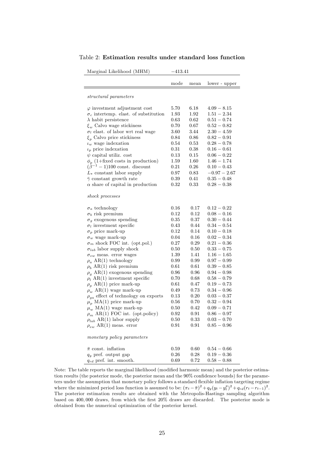| Marginal Likelihood (MHM)                    | $-413.41$  |          |                |
|----------------------------------------------|------------|----------|----------------|
|                                              | mode       | mean     | lower - upper  |
| structural parameters                        |            |          |                |
| $\varphi$ investment adjustment cost         | 5.70       | 6.18     | $4.09 - 8.15$  |
| $\sigma_c$ intertemp. elast. of substitution | 1.93       | 1.92     | $1.51 - 2.34$  |
| $\lambda$ habit persistence                  | 0.63       | $0.62\,$ | $0.51 - 0.74$  |
| $\xi_w$ Calvo wage stickiness                | 0.70       | $0.67\,$ | $0.52 - 0.82$  |
| $\sigma_l$ elast. of labor wrt real wage     | 3.60       | 3.44     | $2.30 - 4.59$  |
| $\xi_p$ Calvo price stickiness               | 0.84       | 0.86     | $0.82 - 0.91$  |
| $\iota_w$ wage indexation                    | 0.54       | 0.53     | $0.28 - 0.78$  |
| $\iota_p$ price indexation                   | 0.31       | 0.38     | $0.16 - 0.61$  |
| $\psi$ capital utiliz. cost                  | 0.13       | 0.15     | $0.06 - 0.22$  |
| $\phi_p$ (1+fixed costs in production)       | 1.59       | 1.60     | $1.46 - 1.74$  |
| $(\dot{\beta}^{-1} - 1)100$ const. discount  | 0.21       | 0.26     | $0.10 - 0.43$  |
| $L_*$ constant labor supply                  | 0.97       | 0.83     | $-0.97 - 2.67$ |
| $\bar{\gamma}$ constant growth rate          | 0.39       | 0.41     | $0.35 - 0.48$  |
| $\alpha$ share of capital in production      | 0.32       | 0.33     | $0.28 - 0.38$  |
| shock processes                              |            |          |                |
| $\sigma_a$ technology                        | 0.16       | 0.17     | $0.12 - 0.22$  |
| $\sigma_b$ risk premium                      | 0.12       | $0.12\,$ | $0.08 - 0.16$  |
| $\sigma_g$ exogenous spending                | 0.35       | 0.37     | $0.30 - 0.44$  |
| $\sigma_l$ investment specific               | 0.43       | 0.44     | $0.34 - 0.54$  |
| $\sigma_p$ price mark-up                     | 0.12       | 0.14     | $0.10 - 0.18$  |
| $\sigma_w$ wage mark-up                      | 0.04       | 0.16     | $0.02 - 0.34$  |
| $\sigma_m$ shock FOC int. (opt.pol.)         | 0.27       | 0.29     | $0.21 - 0.36$  |
| $\sigma_{lab}$ labor supply shock            | 0.50       | 0.50     | $0.33 - 0.75$  |
| $\sigma_{ew}$ meas. error wages              | 1.39       | 1.41     | $1.16 - 1.65$  |
| $\rho_a$ AR(1) technology                    | 0.99       | 0.99     | $0.97 - 0.99$  |
| $\rho_b$ AR(1) risk premium                  | 0.61       | 0.61     | $0.39 - 0.85$  |
| $\rho_g$ AR(1) exogenous spending            | 0.96       | 0.96     | $0.94 - 0.98$  |
| $\rho_l$ AR(1) investment specific           | 0.70       | 0.68     | $0.58 - 0.79$  |
| $\rho_p$ AR(1) price mark-up                 | 0.61       | 0.47     | $0.19 - 0.73$  |
| $\rho_w$ AR(1) wage mark-up                  | 0.49       | 0.73     | $0.34 - 0.96$  |
| $\rho_{qa}$ effect of technology on exports  | 0.13       | 0.20     | $0.03 - 0.37$  |
| $\mu_p$ MA(1) price mark-up                  | 0.56       | 0.70     | $0.32 - 0.94$  |
| $\mu_w$ MA(1) wage mark-up                   | 0.50       | 0.42     | $0.09 - 0.71$  |
| $\rho_m$ AR(1) FOC int. (opt.policy)         | $\rm 0.92$ | 0.91     | $0.86 - 0.97$  |
| $\rho_{lab}$ AR(1) labor supply              | 0.50       | 0.33     | $0.03 - 0.70$  |
| $\rho_{ew}$ AR(1) meas. error                | 0.91       | 0.91     | $0.85 - 0.96$  |
| monetary policy parameters                   |            |          |                |
| $\bar{\pi}$ const. inflation                 | 0.59       | 0.60     | $0.54 - 0.66$  |
| $q_y$ pref. output gap                       | 0.26       | 0.28     | $0.19 - 0.36$  |
| $q_{rd}$ pref. int. smooth.                  | 0.69       | 0.72     | $0.58 - 0.88$  |

Table 2: Estimation results under standard loss function

Note: The table reports the marginal likelihood (modified harmonic mean) and the posterior estimation results (the posterior mode, the posterior mean and the 90% confidence bounds) for the parameters under the assumption that monetary policy follows a standard flexible inflation targeting regime where the minimized period loss function is assumed to be:  $(\pi_t - \bar{\pi})^2 + q_y(y_t - y_t^p)^2 + q_{rd}(r_t - r_{t-1})^2$ . The posterior estimation results are obtained with the Metropolis-Hastings sampling algorithm based on 400,000 draws, from which the first  $20\%$  draws are discarded. The posterior mode is obtained from the numerical optimization of the posterior kernel.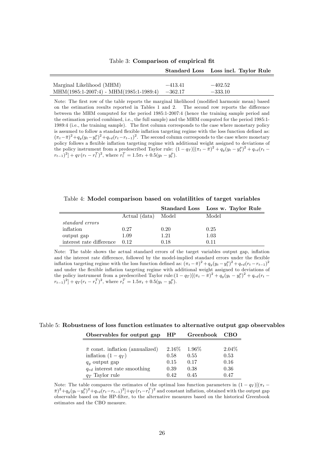|                                                   |           | Standard Loss Loss incl. Taylor Rule |
|---------------------------------------------------|-----------|--------------------------------------|
|                                                   |           |                                      |
| Marginal Likelihood (MHM)                         | $-413.41$ | $-402.52$                            |
| $MHM(1985:1-2007:4) - MHM(1985:1-1989:4) -362.17$ |           | $-333.10$                            |

Table 3: Comparison of empirical fit

Note: The first row of the table reports the marginal likelihood (modified harmonic mean) based on the estimation results reported in Tables 1 and 2. The second row reports the difference between the MHM computed for the period 1985:1-2007:4 (hence the training sample period and the estimation period combined, i.e., the full sample) and the MHM computed for the period 1985:1- 1989:4 (i.e., the training sample). The first column corresponds to the case where monetary policy is assumed to follow a standard flexible inflation targeting regime with the loss function defined as:  $(\pi_t - \bar{\pi})^2 + q_y(y_t - y_t^p)^2 + q_{rd}(r_t - r_{t-1})^2$ . The second column corresponds to the case where monetary policy follows a flexible inflation targeting regime with additional weight assigned to deviations of the policy instrument from a predescribed Taylor rule:  $(1 - q_T)[(\pi_t - \bar{\pi})^2 + q_y(y_t - y_t^p)^2 + q_{rd}(r_t - \bar{r})^2]$  $(r_{t-1})^2$  +  $q_T (r_t - r_t^T)^2$ , where  $r_t^T = 1.5\pi_t + 0.5(y_t - y_t^p)$ .

Table 4: Model comparison based on volatilities of target variables

|                          |                     |      | Standard Loss Loss w. Taylor Rule |
|--------------------------|---------------------|------|-----------------------------------|
|                          | Actual (data) Model |      | Model                             |
| standard errors          |                     |      |                                   |
| inflation                | 0.27                | 0.20 | 0.25                              |
| output gap               | 1.09                | 1.21 | 1.03                              |
| interest rate difference | 0.12                | 0.18 | 0.11                              |

Note: The table shows the actual standard errors of the target variables output gap, inflation and the interest rate difference, followed by the model-implied standard errors under the flexible inflation targeting regime with the loss function defined as:  $(\pi_t - \bar{\pi})^2 + q_y(y_t - y_t^p)^2 + q_{rd}(r_t - r_{t-1})^2$ and under the flexible inflation targeting regime with additional weight assigned to deviations of the policy instrument from a predescribed Taylor rule: $(1 - q_T)[(\pi_t - \overline{\pi})^2 + q_y(y_t - y_t^p)^2 + q_{rd}(r_t - \overline{r})^2]$  $(r_{t-1})^2$  +  $q_T (r_t - r_t^T)^2$ , where  $r_t^T = 1.5\pi_t + 0.5(y_t - y_t^p)$ .

Table 5: Robustness of loss function estimates to alternative output gap observables

| Observables for output gap                | HР     | Greenbook | CBO      |
|-------------------------------------------|--------|-----------|----------|
|                                           |        |           |          |
| $\bar{\pi}$ const. inflation (annualized) | 2.16\% | $1.96\%$  | $2.04\%$ |
| inflation $(1-q_T)$                       | 0.58   | 0.55      | 0.53     |
| $q_y$ output gap                          | 0.15   | 0.17      | 0.16     |
| $q_{rd}$ interest rate smoothing          | 0.39   | 0.38      | 0.36     |
| $q_T$ Taylor rule                         | 0.42   | 0.45      | 0.47     |

Note: The table compares the estimates of the optimal loss function parameters in  $(1 - q_T)[(\pi_t - \bar{\pi})^2 + q_y(y_t - y_t^p)^2 + q_{rd}(r_t - r_{t-1})^2] + qr(r_t - r_t^T)^2$  and constant inflation, obtained with the output gap observable based on the HP-filter, to the alternative measures based on the historical Greenbook estimates and the CBO measure.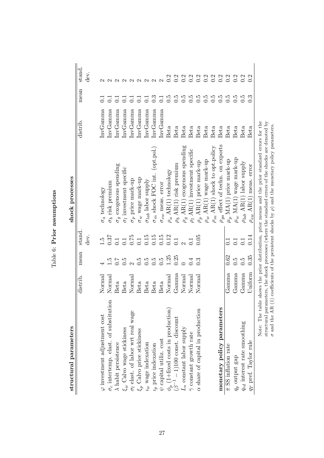| structural parameters                                                            |                        |                   |                                | shock processes                         |          |                  |                   |
|----------------------------------------------------------------------------------|------------------------|-------------------|--------------------------------|-----------------------------------------|----------|------------------|-------------------|
|                                                                                  | distrib.               | mean              | $\operatorname{stand}$<br>dev. |                                         | distrib. | mean             | stand.<br>dev.    |
|                                                                                  |                        |                   |                                |                                         |          |                  |                   |
| $\varphi$ investment adjustment cost                                             | Normal                 |                   | $\ddot{5}$                     | $\sigma_a$ technology                   | InvGamma |                  |                   |
| $\sigma_c$ intertemp. elast. of substitution                                     | Normal                 | $\frac{5}{1}$     | 0.37                           | $\sigma_b$ risk premium                 | InvGamma | $\Xi$            |                   |
| $\lambda$ habit persistence                                                      | Beta                   | $\overline{C}$    | $0.\overline{1}$               | $\sigma_g$ exogenous spending           | InvGamma | $\overline{\Xi}$ |                   |
| $\xi_w$ Calvo wage stickiness                                                    | Beta                   | $\ddot{6}$        | 0.1                            | $\sigma_l$ investment specific          | InvGamma | $\Xi$            |                   |
| $\sigma_l$ elast. of labor wrt real wage                                         | Normal                 | $\mathbf{\Omega}$ | 0.75                           | $\sigma_p$ price mark-up                | InvGamma | $\Xi$            |                   |
| $\xi_p$ Calvo price stickiness                                                   | Beta                   | $\ddot{c}$        | 0.1                            | $\sigma_w$ wage mark-up                 | InvGamma | $\overline{C}$   |                   |
| $\iota_w$ wage indexation                                                        | Beta                   | $\ddot{0}$ .      | $0.15\,$                       | $\sigma_{lab}$ labor supply             | InvGamma | $\overline{C}$   |                   |
| $\ensuremath{\mathnormal{L}}_p$ price indexation                                 | Beta                   | $\ddot{0}$ .      | $0.15\,$                       | $\sigma_m$ shock FOC int. (opt.pol.)    | InvGamma | $\ddot{0}$       | $\mathbf{\Omega}$ |
| $\psi$ capital utiliz. cost                                                      | Beta                   | $\ddot{c}$        | 0.15                           | $\sigma_{ew}$ meas. $\text{error}$      | InvGamma | $\overline{0.1}$ | $\mathbf{\Omega}$ |
|                                                                                  | Normal                 | 1.25              | 0.12                           | $\rho_a$ AR(1) technology               | Beta     | $\ddot{6}$       | 0.2               |
| $\phi_p$ (1+fixed costs in production)<br>( $\beta^{-1}$ – 1)100 const. discount | $\operatorname{Gamma}$ | 0.25              | 0.1                            | $\rho_b$ AR(1) risk premium             | Beta     | $\ddot{6}$       | 0.2               |
| $L_{\ast}$ constant labor supply                                                 | Normal                 |                   |                                | $\rho_g$ AR(1) exogenous spending       | Beta     | 0.5              | 0.2               |
| $\bar{\gamma}$ constant growth rate                                              | $\rm Normal$           | 0.4               | 0.1                            | $\rho_l$ AR(1) investment specific      | Beta     | $\ddot{0}$       | 0.2               |
| $\alpha$ share of capital in production                                          | Normal                 | $0.\overline{3}$  | 0.05                           | $\rho_p$ AR(1) price mark-up            | Beta     | $\ddot{0}$       | $\frac{0.2}{0.2}$ |
|                                                                                  |                        |                   |                                | $\rho_w$ AR(1) wage mark-up             | Beta     | 6.5              |                   |
|                                                                                  |                        |                   |                                | $\rho_m$ AR(1) shock to opt.<br>policy  | Beta     | 0.5              | 0.2               |
| monetary policy parameters                                                       |                        |                   |                                | $\rho_{ga}$ effect of techn. on exports | Beta     | 6.5              | 0.2               |
| $\bar{\pi}$ SS inflation rate                                                    | $G$ a $mna$            | $0.62\,$          | $\Xi$                          | $\mu_p$ MA(1) price mark-up             | Beta     | $\ddot{0}$       | 0.2               |
| $q_y$ output gap                                                                 | Gamma                  | $\ddot{c}$ .      | $\overline{C}$                 | $\mu_w$ MA(1) wage mark-up              | Beta     | $\ddot{6}$       | 0.2               |
| $q_{rd}$ interest rate smoothing                                                 | Gamma                  | $\ddot{c}$        | $\overline{0.1}$               | $\rho_{lab}$ AR(1) labor supply         | Beta     | $\ddot{6}$       | 0.2               |
| 97 pref. Taylor rule                                                             | $\rm U$ niform         | 0.35              | 0.14                           | $\rho_{ew}$ AR(1) meas. error           | Beta     | $\ddot{0}$       |                   |

Note: The table shows the prior distribution, prior means and the prior standard errors for the structural parameters, the shock processes (where the standard errors of the shocks are denoted by Note: The table shows the prior distribution, prior means and the prior standard errors for the structural parameters, the shock processes (where the standard errors of the shocks are denoted by  $\sigma$  and the AR (1) coeffi  $\sigma$  and the AR (1) coefficients of the persistent shocks by  $\rho$ ) and the monetary policy parameters.

Table 6: Prior assumptions Table 6: Prior assumptions

27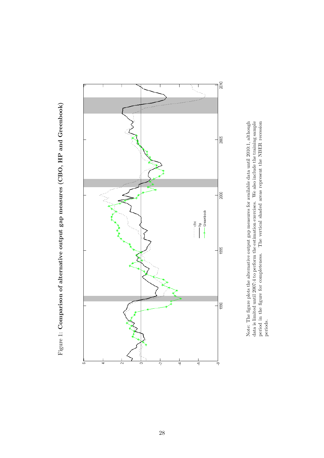



Note: The Ögure plots the alternative output gap measures for available data until 2010:1, although data is limited until 2007:4 to perform the estimation exercises. We also include the training sample period in the Ögure for completeness. The vertical shaded areas represent the NBER recession Note: The figure plots the alternative output gap measures for available data until 2010:1, although data is limited until 2007:4 to perform the estimation exercises. We also include the training sample period in the figu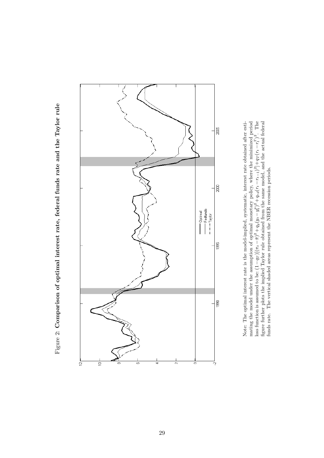Figure 2: Comparison of optimal interest rate, federal funds rate and the Taylor rule Figure 2: Comparison of optimal interest rate, federal funds rate and the Taylor rule



loss function is assumed to be:  $(1 - q_T)[(\pi_t - \pi)^2 + q_y(y_t - y_t^p)^2 + q_x(r_t - r_{t-1})^2] + q_T(r_t - r_t^T)^2$ . The figure further plots the implied Taylor rule obtained from the same model, and the actual federal Note: The optimal interest rate is the model-implied, systematic, interest rate obtained after estimating the model under the assumption of optimal monetary policy, where the minimized period Note: The optimal interest rate is the model-implied, systematic, interest rate obtained after estimating the model under the assumption of optimal monetary policy, where the minimized period loss function is assumed to be:  $(1- q_T)[(\pi_t-\bar{\pi})^2+q_y(y_t-y_t^p)^2+q_r d(r_t-r_{t-1})^2]+q_T (r_t-r_t^T)^2$ . The Ögure further plots the implied Taylor rule obtained from the same model, and the actual federal funds rate. The vertical shaded areas represent the NBER recession periods. funds rate. The vertical shaded areas represent the NBER recession periods.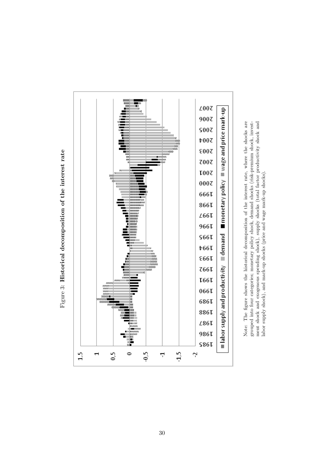

Figure 3: Historical decomposition of the interest rate Figure 3: Historical decomposition of the interest rate Note: The figure shows the historical decomposition of the interest rate, where the shocks are grouped into four categories; monetary policy shock, demand shocks (risk-premium shock, invest-ment shock and exogenous spendin Note: The Ögure shows the historical decomposition of the interest rate, where the shocks are grouped into four categories; monetary policy shock, demand shocks (risk-premium shock, investment shock and exogenous spending shock), supply shocks (total factor productivity shock and labor supply shock), and mark-up shocks (price and wage mark-up shocks). labor supply shock), and mark-up shocks (price and wage mark-up shocks).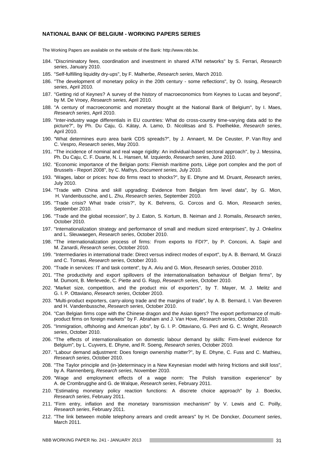#### **NATIONAL BANK OF BELGIUM - WORKING PAPERS SERIES**

The Working Papers are available on the website of the Bank: http://www.nbb.be.

- 184. "Discriminatory fees, coordination and investment in shared ATM networks" by S. Ferrari, *Research series*, January 2010.
- 185. "Self-fulfilling liquidity dry-ups", by F. Malherbe, *Research series*, March 2010.
- 186. "The development of monetary policy in the 20th century some reflections", by O. Issing, *Research series*, April 2010.
- 187. "Getting rid of Keynes? A survey of the history of macroeconomics from Keynes to Lucas and beyond", by M. De Vroey, *Research series*, April 2010.
- 188. "A century of macroeconomic and monetary thought at the National Bank of Belgium", by I. Maes, *Research series*, April 2010.
- 189. "Inter-industry wage differentials in EU countries: What do cross-country time-varying data add to the picture?", by Ph. Du Caju, G. Kátay, A. Lamo, D. Nicolitsas and S. Poelhekke, *Research series*, April 2010.
- 190. "What determines euro area bank CDS spreads?", by J. Annaert, M. De Ceuster, P. Van Roy and C. Vespro, *Research series*, May 2010.
- 191. "The incidence of nominal and real wage rigidity: An individual-based sectoral approach", by J. Messina, Ph. Du Caju, C. F. Duarte, N. L. Hansen, M. Izquierdo, *Research series*, June 2010.
- 192. "Economic importance of the Belgian ports: Flemish maritime ports, Liège port complex and the port of Brussels - Report 2008", by C. Mathys, *Document series,* July 2010.
- 193. "Wages, labor or prices: how do firms react to shocks?", by E. Dhyne and M. Druant, *Research series*, July 2010.
- 194. "Trade with China and skill upgrading: Evidence from Belgian firm level data", by G. Mion, H. Vandenbussche, and L. Zhu, *Research series*, September 2010.
- 195. "Trade crisis? What trade crisis?", by K. Behrens, G. Corcos and G. Mion, *Research series*, September 2010.
- 196. "Trade and the global recession", by J. Eaton, S. Kortum, B. Neiman and J. Romalis, *Research series*, October 2010.
- 197. "Internationalization strategy and performance of small and medium sized enterprises", by J. Onkelinx and L. Sleuwaegen, *Research series*, October 2010.
- 198. "The internationalization process of firms: From exports to FDI?", by P. Conconi, A. Sapir and M. Zanardi, *Research series*, October 2010.
- 199. "Intermediaries in international trade: Direct versus indirect modes of export", by A. B. Bernard, M. Grazzi and C. Tomasi, *Research series*, October 2010.
- 200. "Trade in services: IT and task content", by A. Ariu and G. Mion, *Research series*, October 2010.
- 201. "The productivity and export spillovers of the internationalisation behaviour of Belgian firms", by M. Dumont, B. Merlevede, C. Piette and G. Rayp, *Research series*, October 2010.
- 202. "Market size, competition, and the product mix of exporters", by T. Mayer, M. J. Melitz and G. I. P. Ottaviano, *Research series*, October 2010.
- 203. "Multi-product exporters, carry-along trade and the margins of trade", by A. B. Bernard, I. Van Beveren and H. Vandenbussche, *Research series*, October 2010.
- 204. "Can Belgian firms cope with the Chinese dragon and the Asian tigers? The export performance of multiproduct firms on foreign markets" by F. Abraham and J. Van Hove, *Research series*, October 2010.
- 205. "Immigration, offshoring and American jobs", by G. I. P. Ottaviano, G. Peri and G. C. Wright, *Research series*, October 2010.
- 206. "The effects of internationalisation on domestic labour demand by skills: Firm-level evidence for Belgium", by L. Cuyvers, E. Dhyne, and R. Soeng, *Research series*, October 2010.
- 207. "Labour demand adjustment: Does foreign ownership matter?", by E. Dhyne, C. Fuss and C. Mathieu, *Research series*, October 2010.
- 208. "The Taylor principle and (in-)determinacy in a New Keynesian model with hiring frictions and skill loss", by A. Rannenberg, *Research series*, November 2010.
- 209. "Wage and employment effects of a wage norm: The Polish transition experience" by A. de Crombrugghe and G. de Walque, *Research series*, February 2011.
- 210. "Estimating monetary policy reaction functions: A discrete choice approach" by J. Boeckx, *Research series*, February 2011.
- 211. "Firm entry, inflation and the monetary transmission mechanism" by V. Lewis and C. Poilly, *Research series*, February 2011.
- 212. "The link between mobile telephony arrears and credit arrears" by H. De Doncker, *Document series*, March 2011.